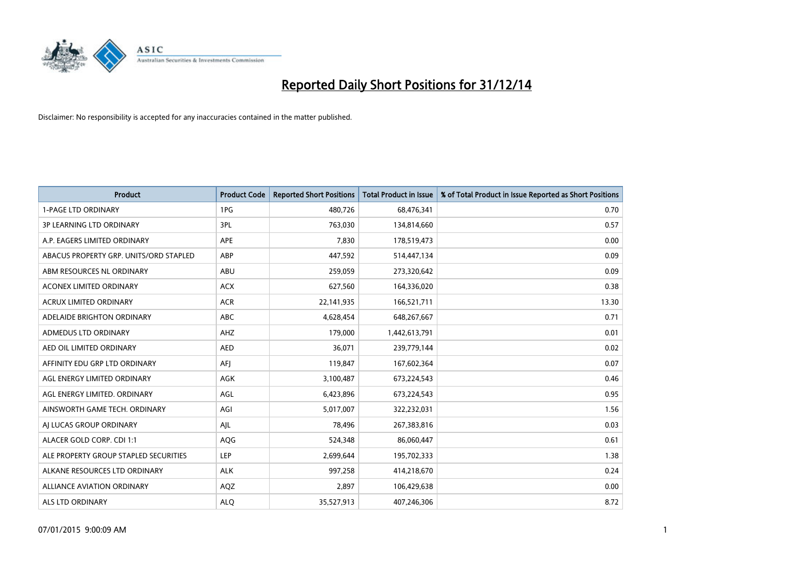

| <b>Product</b>                         | <b>Product Code</b> | <b>Reported Short Positions</b> | <b>Total Product in Issue</b> | % of Total Product in Issue Reported as Short Positions |
|----------------------------------------|---------------------|---------------------------------|-------------------------------|---------------------------------------------------------|
| <b>1-PAGE LTD ORDINARY</b>             | 1PG                 | 480,726                         | 68,476,341                    | 0.70                                                    |
| <b>3P LEARNING LTD ORDINARY</b>        | 3PL                 | 763,030                         | 134,814,660                   | 0.57                                                    |
| A.P. EAGERS LIMITED ORDINARY           | APE                 | 7,830                           | 178,519,473                   | 0.00                                                    |
| ABACUS PROPERTY GRP. UNITS/ORD STAPLED | ABP                 | 447,592                         | 514,447,134                   | 0.09                                                    |
| ABM RESOURCES NL ORDINARY              | ABU                 | 259,059                         | 273,320,642                   | 0.09                                                    |
| <b>ACONEX LIMITED ORDINARY</b>         | <b>ACX</b>          | 627,560                         | 164,336,020                   | 0.38                                                    |
| <b>ACRUX LIMITED ORDINARY</b>          | <b>ACR</b>          | 22,141,935                      | 166,521,711                   | 13.30                                                   |
| ADELAIDE BRIGHTON ORDINARY             | <b>ABC</b>          | 4,628,454                       | 648,267,667                   | 0.71                                                    |
| ADMEDUS LTD ORDINARY                   | AHZ                 | 179,000                         | 1,442,613,791                 | 0.01                                                    |
| AED OIL LIMITED ORDINARY               | <b>AED</b>          | 36,071                          | 239,779,144                   | 0.02                                                    |
| AFFINITY EDU GRP LTD ORDINARY          | AFJ                 | 119,847                         | 167,602,364                   | 0.07                                                    |
| AGL ENERGY LIMITED ORDINARY            | AGK                 | 3,100,487                       | 673,224,543                   | 0.46                                                    |
| AGL ENERGY LIMITED. ORDINARY           | AGL                 | 6,423,896                       | 673,224,543                   | 0.95                                                    |
| AINSWORTH GAME TECH. ORDINARY          | AGI                 | 5,017,007                       | 322,232,031                   | 1.56                                                    |
| AI LUCAS GROUP ORDINARY                | AJL                 | 78,496                          | 267,383,816                   | 0.03                                                    |
| ALACER GOLD CORP. CDI 1:1              | AQG                 | 524,348                         | 86,060,447                    | 0.61                                                    |
| ALE PROPERTY GROUP STAPLED SECURITIES  | LEP                 | 2,699,644                       | 195,702,333                   | 1.38                                                    |
| ALKANE RESOURCES LTD ORDINARY          | <b>ALK</b>          | 997,258                         | 414,218,670                   | 0.24                                                    |
| <b>ALLIANCE AVIATION ORDINARY</b>      | AQZ                 | 2,897                           | 106,429,638                   | 0.00                                                    |
| ALS LTD ORDINARY                       | <b>ALO</b>          | 35,527,913                      | 407,246,306                   | 8.72                                                    |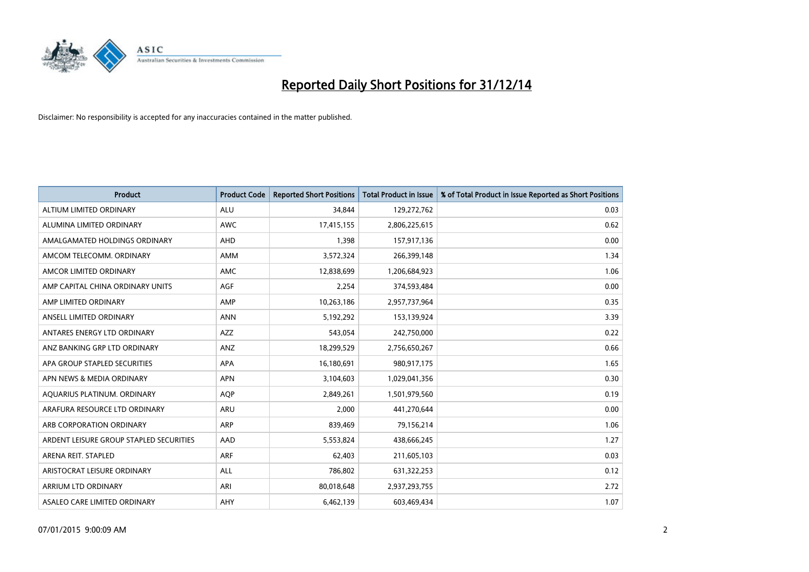

| <b>Product</b>                          | <b>Product Code</b> | <b>Reported Short Positions</b> | <b>Total Product in Issue</b> | % of Total Product in Issue Reported as Short Positions |
|-----------------------------------------|---------------------|---------------------------------|-------------------------------|---------------------------------------------------------|
| ALTIUM LIMITED ORDINARY                 | <b>ALU</b>          | 34,844                          | 129,272,762                   | 0.03                                                    |
| ALUMINA LIMITED ORDINARY                | AWC                 | 17,415,155                      | 2,806,225,615                 | 0.62                                                    |
| AMALGAMATED HOLDINGS ORDINARY           | AHD                 | 1,398                           | 157,917,136                   | 0.00                                                    |
| AMCOM TELECOMM. ORDINARY                | AMM                 | 3,572,324                       | 266,399,148                   | 1.34                                                    |
| AMCOR LIMITED ORDINARY                  | AMC                 | 12,838,699                      | 1,206,684,923                 | 1.06                                                    |
| AMP CAPITAL CHINA ORDINARY UNITS        | <b>AGF</b>          | 2,254                           | 374,593,484                   | 0.00                                                    |
| AMP LIMITED ORDINARY                    | AMP                 | 10,263,186                      | 2,957,737,964                 | 0.35                                                    |
| ANSELL LIMITED ORDINARY                 | <b>ANN</b>          | 5,192,292                       | 153,139,924                   | 3.39                                                    |
| ANTARES ENERGY LTD ORDINARY             | <b>AZZ</b>          | 543,054                         | 242,750,000                   | 0.22                                                    |
| ANZ BANKING GRP LTD ORDINARY            | ANZ                 | 18,299,529                      | 2,756,650,267                 | 0.66                                                    |
| APA GROUP STAPLED SECURITIES            | APA                 | 16,180,691                      | 980,917,175                   | 1.65                                                    |
| APN NEWS & MEDIA ORDINARY               | <b>APN</b>          | 3,104,603                       | 1,029,041,356                 | 0.30                                                    |
| AQUARIUS PLATINUM. ORDINARY             | <b>AOP</b>          | 2,849,261                       | 1,501,979,560                 | 0.19                                                    |
| ARAFURA RESOURCE LTD ORDINARY           | ARU                 | 2,000                           | 441,270,644                   | 0.00                                                    |
| ARB CORPORATION ORDINARY                | <b>ARP</b>          | 839,469                         | 79,156,214                    | 1.06                                                    |
| ARDENT LEISURE GROUP STAPLED SECURITIES | AAD                 | 5,553,824                       | 438,666,245                   | 1.27                                                    |
| ARENA REIT. STAPLED                     | <b>ARF</b>          | 62,403                          | 211,605,103                   | 0.03                                                    |
| ARISTOCRAT LEISURE ORDINARY             | <b>ALL</b>          | 786,802                         | 631,322,253                   | 0.12                                                    |
| ARRIUM LTD ORDINARY                     | ARI                 | 80,018,648                      | 2,937,293,755                 | 2.72                                                    |
| ASALEO CARE LIMITED ORDINARY            | AHY                 | 6,462,139                       | 603,469,434                   | 1.07                                                    |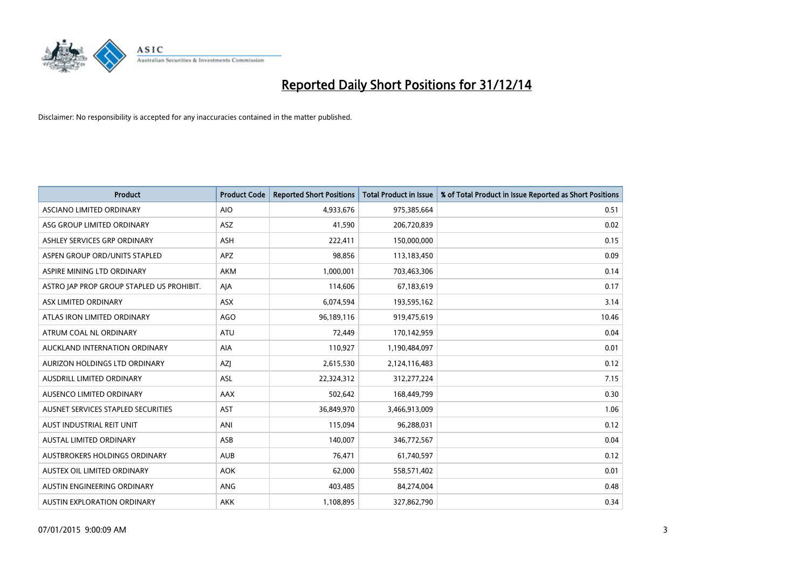

| <b>Product</b>                            | <b>Product Code</b> | <b>Reported Short Positions</b> | <b>Total Product in Issue</b> | % of Total Product in Issue Reported as Short Positions |
|-------------------------------------------|---------------------|---------------------------------|-------------------------------|---------------------------------------------------------|
| ASCIANO LIMITED ORDINARY                  | <b>AIO</b>          | 4,933,676                       | 975,385,664                   | 0.51                                                    |
| ASG GROUP LIMITED ORDINARY                | ASZ                 | 41,590                          | 206,720,839                   | 0.02                                                    |
| ASHLEY SERVICES GRP ORDINARY              | <b>ASH</b>          | 222,411                         | 150,000,000                   | 0.15                                                    |
| ASPEN GROUP ORD/UNITS STAPLED             | <b>APZ</b>          | 98,856                          | 113,183,450                   | 0.09                                                    |
| ASPIRE MINING LTD ORDINARY                | AKM                 | 1,000,001                       | 703,463,306                   | 0.14                                                    |
| ASTRO JAP PROP GROUP STAPLED US PROHIBIT. | AJA                 | 114,606                         | 67,183,619                    | 0.17                                                    |
| ASX LIMITED ORDINARY                      | ASX                 | 6,074,594                       | 193,595,162                   | 3.14                                                    |
| ATLAS IRON LIMITED ORDINARY               | <b>AGO</b>          | 96,189,116                      | 919,475,619                   | 10.46                                                   |
| ATRUM COAL NL ORDINARY                    | ATU                 | 72,449                          | 170,142,959                   | 0.04                                                    |
| AUCKLAND INTERNATION ORDINARY             | AIA                 | 110,927                         | 1,190,484,097                 | 0.01                                                    |
| AURIZON HOLDINGS LTD ORDINARY             | AZJ                 | 2,615,530                       | 2,124,116,483                 | 0.12                                                    |
| AUSDRILL LIMITED ORDINARY                 | <b>ASL</b>          | 22,324,312                      | 312,277,224                   | 7.15                                                    |
| AUSENCO LIMITED ORDINARY                  | AAX                 | 502,642                         | 168,449,799                   | 0.30                                                    |
| AUSNET SERVICES STAPLED SECURITIES        | <b>AST</b>          | 36,849,970                      | 3,466,913,009                 | 1.06                                                    |
| AUST INDUSTRIAL REIT UNIT                 | ANI                 | 115,094                         | 96,288,031                    | 0.12                                                    |
| <b>AUSTAL LIMITED ORDINARY</b>            | ASB                 | 140,007                         | 346,772,567                   | 0.04                                                    |
| AUSTBROKERS HOLDINGS ORDINARY             | <b>AUB</b>          | 76,471                          | 61,740,597                    | 0.12                                                    |
| AUSTEX OIL LIMITED ORDINARY               | <b>AOK</b>          | 62.000                          | 558,571,402                   | 0.01                                                    |
| AUSTIN ENGINEERING ORDINARY               | ANG                 | 403,485                         | 84,274,004                    | 0.48                                                    |
| AUSTIN EXPLORATION ORDINARY               | <b>AKK</b>          | 1,108,895                       | 327,862,790                   | 0.34                                                    |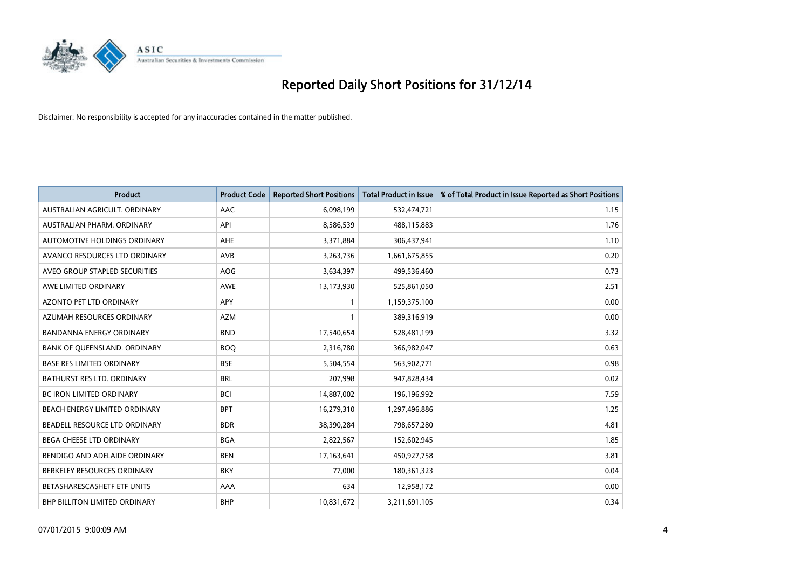

| <b>Product</b>                   | <b>Product Code</b> | <b>Reported Short Positions</b> | <b>Total Product in Issue</b> | % of Total Product in Issue Reported as Short Positions |
|----------------------------------|---------------------|---------------------------------|-------------------------------|---------------------------------------------------------|
| AUSTRALIAN AGRICULT, ORDINARY    | AAC                 | 6,098,199                       | 532,474,721                   | 1.15                                                    |
| AUSTRALIAN PHARM. ORDINARY       | API                 | 8,586,539                       | 488,115,883                   | 1.76                                                    |
| AUTOMOTIVE HOLDINGS ORDINARY     | AHE                 | 3,371,884                       | 306,437,941                   | 1.10                                                    |
| AVANCO RESOURCES LTD ORDINARY    | AVB                 | 3,263,736                       | 1,661,675,855                 | 0.20                                                    |
| AVEO GROUP STAPLED SECURITIES    | AOG                 | 3,634,397                       | 499,536,460                   | 0.73                                                    |
| AWE LIMITED ORDINARY             | <b>AWE</b>          | 13,173,930                      | 525,861,050                   | 2.51                                                    |
| AZONTO PET LTD ORDINARY          | <b>APY</b>          | $\mathbf{1}$                    | 1,159,375,100                 | 0.00                                                    |
| AZUMAH RESOURCES ORDINARY        | <b>AZM</b>          | $\mathbf{1}$                    | 389,316,919                   | 0.00                                                    |
| <b>BANDANNA ENERGY ORDINARY</b>  | <b>BND</b>          | 17,540,654                      | 528,481,199                   | 3.32                                                    |
| BANK OF QUEENSLAND. ORDINARY     | <b>BOQ</b>          | 2,316,780                       | 366,982,047                   | 0.63                                                    |
| <b>BASE RES LIMITED ORDINARY</b> | <b>BSE</b>          | 5,504,554                       | 563,902,771                   | 0.98                                                    |
| BATHURST RES LTD. ORDINARY       | <b>BRL</b>          | 207,998                         | 947,828,434                   | 0.02                                                    |
| <b>BC IRON LIMITED ORDINARY</b>  | <b>BCI</b>          | 14,887,002                      | 196,196,992                   | 7.59                                                    |
| BEACH ENERGY LIMITED ORDINARY    | <b>BPT</b>          | 16,279,310                      | 1,297,496,886                 | 1.25                                                    |
| BEADELL RESOURCE LTD ORDINARY    | <b>BDR</b>          | 38,390,284                      | 798,657,280                   | 4.81                                                    |
| BEGA CHEESE LTD ORDINARY         | <b>BGA</b>          | 2,822,567                       | 152,602,945                   | 1.85                                                    |
| BENDIGO AND ADELAIDE ORDINARY    | <b>BEN</b>          | 17,163,641                      | 450,927,758                   | 3.81                                                    |
| BERKELEY RESOURCES ORDINARY      | <b>BKY</b>          | 77,000                          | 180,361,323                   | 0.04                                                    |
| BETASHARESCASHETF ETF UNITS      | AAA                 | 634                             | 12,958,172                    | 0.00                                                    |
| BHP BILLITON LIMITED ORDINARY    | <b>BHP</b>          | 10,831,672                      | 3,211,691,105                 | 0.34                                                    |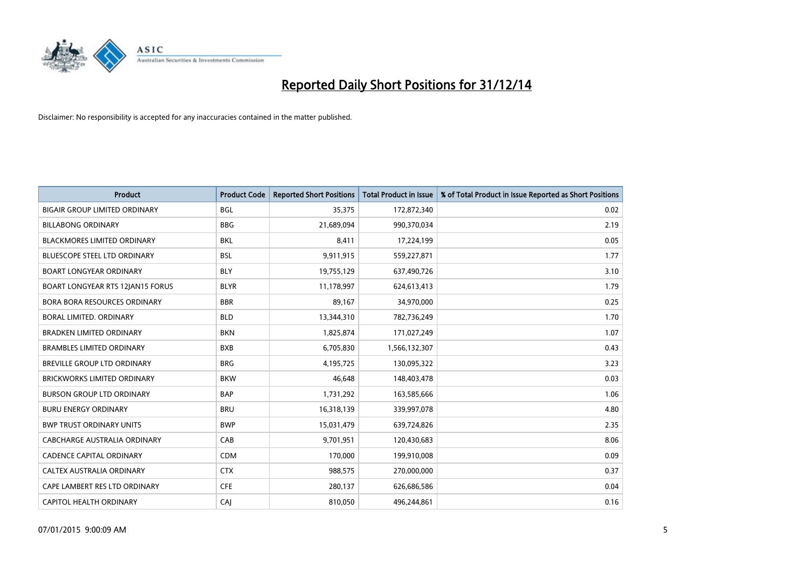

| <b>Product</b>                       | <b>Product Code</b> | <b>Reported Short Positions</b> | <b>Total Product in Issue</b> | % of Total Product in Issue Reported as Short Positions |
|--------------------------------------|---------------------|---------------------------------|-------------------------------|---------------------------------------------------------|
| <b>BIGAIR GROUP LIMITED ORDINARY</b> | <b>BGL</b>          | 35,375                          | 172,872,340                   | 0.02                                                    |
| <b>BILLABONG ORDINARY</b>            | <b>BBG</b>          | 21,689,094                      | 990,370,034                   | 2.19                                                    |
| <b>BLACKMORES LIMITED ORDINARY</b>   | <b>BKL</b>          | 8,411                           | 17,224,199                    | 0.05                                                    |
| BLUESCOPE STEEL LTD ORDINARY         | <b>BSL</b>          | 9,911,915                       | 559,227,871                   | 1.77                                                    |
| <b>BOART LONGYEAR ORDINARY</b>       | <b>BLY</b>          | 19,755,129                      | 637,490,726                   | 3.10                                                    |
| BOART LONGYEAR RTS 12JAN15 FORUS     | <b>BLYR</b>         | 11,178,997                      | 624,613,413                   | 1.79                                                    |
| <b>BORA BORA RESOURCES ORDINARY</b>  | <b>BBR</b>          | 89,167                          | 34,970,000                    | 0.25                                                    |
| BORAL LIMITED. ORDINARY              | <b>BLD</b>          | 13,344,310                      | 782,736,249                   | 1.70                                                    |
| <b>BRADKEN LIMITED ORDINARY</b>      | <b>BKN</b>          | 1,825,874                       | 171,027,249                   | 1.07                                                    |
| <b>BRAMBLES LIMITED ORDINARY</b>     | <b>BXB</b>          | 6,705,830                       | 1,566,132,307                 | 0.43                                                    |
| <b>BREVILLE GROUP LTD ORDINARY</b>   | <b>BRG</b>          | 4,195,725                       | 130,095,322                   | 3.23                                                    |
| <b>BRICKWORKS LIMITED ORDINARY</b>   | <b>BKW</b>          | 46,648                          | 148,403,478                   | 0.03                                                    |
| <b>BURSON GROUP LTD ORDINARY</b>     | <b>BAP</b>          | 1,731,292                       | 163,585,666                   | 1.06                                                    |
| <b>BURU ENERGY ORDINARY</b>          | <b>BRU</b>          | 16,318,139                      | 339,997,078                   | 4.80                                                    |
| <b>BWP TRUST ORDINARY UNITS</b>      | <b>BWP</b>          | 15,031,479                      | 639,724,826                   | 2.35                                                    |
| CABCHARGE AUSTRALIA ORDINARY         | CAB                 | 9,701,951                       | 120,430,683                   | 8.06                                                    |
| <b>CADENCE CAPITAL ORDINARY</b>      | <b>CDM</b>          | 170,000                         | 199,910,008                   | 0.09                                                    |
| CALTEX AUSTRALIA ORDINARY            | <b>CTX</b>          | 988,575                         | 270,000,000                   | 0.37                                                    |
| CAPE LAMBERT RES LTD ORDINARY        | <b>CFE</b>          | 280,137                         | 626,686,586                   | 0.04                                                    |
| CAPITOL HEALTH ORDINARY              | CAJ                 | 810,050                         | 496,244,861                   | 0.16                                                    |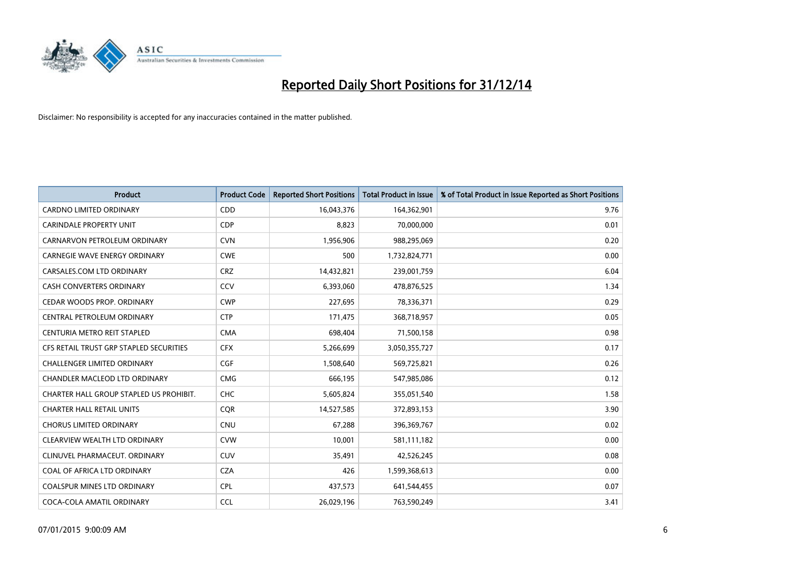

| <b>Product</b>                          | <b>Product Code</b> | <b>Reported Short Positions</b> | <b>Total Product in Issue</b> | % of Total Product in Issue Reported as Short Positions |
|-----------------------------------------|---------------------|---------------------------------|-------------------------------|---------------------------------------------------------|
| <b>CARDNO LIMITED ORDINARY</b>          | CDD                 | 16,043,376                      | 164,362,901                   | 9.76                                                    |
| <b>CARINDALE PROPERTY UNIT</b>          | <b>CDP</b>          | 8,823                           | 70,000,000                    | 0.01                                                    |
| CARNARVON PETROLEUM ORDINARY            | <b>CVN</b>          | 1,956,906                       | 988,295,069                   | 0.20                                                    |
| <b>CARNEGIE WAVE ENERGY ORDINARY</b>    | <b>CWE</b>          | 500                             | 1,732,824,771                 | 0.00                                                    |
| CARSALES.COM LTD ORDINARY               | <b>CRZ</b>          | 14,432,821                      | 239,001,759                   | 6.04                                                    |
| <b>CASH CONVERTERS ORDINARY</b>         | CCV                 | 6,393,060                       | 478,876,525                   | 1.34                                                    |
| CEDAR WOODS PROP. ORDINARY              | <b>CWP</b>          | 227,695                         | 78,336,371                    | 0.29                                                    |
| CENTRAL PETROLEUM ORDINARY              | <b>CTP</b>          | 171,475                         | 368,718,957                   | 0.05                                                    |
| CENTURIA METRO REIT STAPLED             | <b>CMA</b>          | 698,404                         | 71,500,158                    | 0.98                                                    |
| CFS RETAIL TRUST GRP STAPLED SECURITIES | <b>CFX</b>          | 5,266,699                       | 3,050,355,727                 | 0.17                                                    |
| CHALLENGER LIMITED ORDINARY             | <b>CGF</b>          | 1,508,640                       | 569,725,821                   | 0.26                                                    |
| CHANDLER MACLEOD LTD ORDINARY           | <b>CMG</b>          | 666,195                         | 547,985,086                   | 0.12                                                    |
| CHARTER HALL GROUP STAPLED US PROHIBIT. | <b>CHC</b>          | 5,605,824                       | 355,051,540                   | 1.58                                                    |
| <b>CHARTER HALL RETAIL UNITS</b>        | <b>COR</b>          | 14,527,585                      | 372,893,153                   | 3.90                                                    |
| <b>CHORUS LIMITED ORDINARY</b>          | <b>CNU</b>          | 67,288                          | 396,369,767                   | 0.02                                                    |
| CLEARVIEW WEALTH LTD ORDINARY           | <b>CVW</b>          | 10,001                          | 581,111,182                   | 0.00                                                    |
| CLINUVEL PHARMACEUT. ORDINARY           | <b>CUV</b>          | 35,491                          | 42,526,245                    | 0.08                                                    |
| COAL OF AFRICA LTD ORDINARY             | <b>CZA</b>          | 426                             | 1,599,368,613                 | 0.00                                                    |
| <b>COALSPUR MINES LTD ORDINARY</b>      | <b>CPL</b>          | 437,573                         | 641,544,455                   | 0.07                                                    |
| COCA-COLA AMATIL ORDINARY               | <b>CCL</b>          | 26,029,196                      | 763,590,249                   | 3.41                                                    |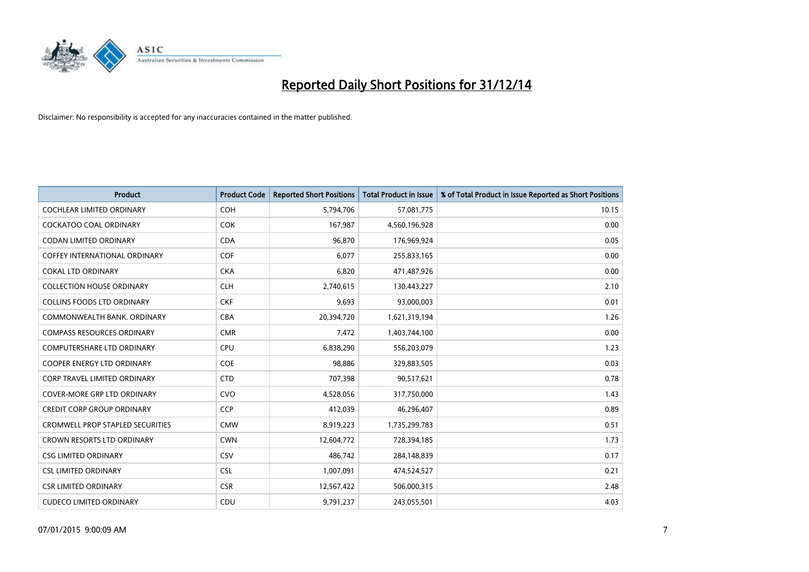

| <b>Product</b>                          | <b>Product Code</b> | <b>Reported Short Positions</b> | <b>Total Product in Issue</b> | % of Total Product in Issue Reported as Short Positions |
|-----------------------------------------|---------------------|---------------------------------|-------------------------------|---------------------------------------------------------|
| <b>COCHLEAR LIMITED ORDINARY</b>        | COH                 | 5,794,706                       | 57,081,775                    | 10.15                                                   |
| COCKATOO COAL ORDINARY                  | <b>COK</b>          | 167,987                         | 4,560,196,928                 | 0.00                                                    |
| <b>CODAN LIMITED ORDINARY</b>           | <b>CDA</b>          | 96,870                          | 176,969,924                   | 0.05                                                    |
| <b>COFFEY INTERNATIONAL ORDINARY</b>    | <b>COF</b>          | 6,077                           | 255,833,165                   | 0.00                                                    |
| <b>COKAL LTD ORDINARY</b>               | <b>CKA</b>          | 6,820                           | 471,487,926                   | 0.00                                                    |
| <b>COLLECTION HOUSE ORDINARY</b>        | <b>CLH</b>          | 2,740,615                       | 130,443,227                   | 2.10                                                    |
| <b>COLLINS FOODS LTD ORDINARY</b>       | <b>CKF</b>          | 9,693                           | 93,000,003                    | 0.01                                                    |
| COMMONWEALTH BANK, ORDINARY             | <b>CBA</b>          | 20,394,720                      | 1,621,319,194                 | 1.26                                                    |
| <b>COMPASS RESOURCES ORDINARY</b>       | <b>CMR</b>          | 7,472                           | 1,403,744,100                 | 0.00                                                    |
| <b>COMPUTERSHARE LTD ORDINARY</b>       | <b>CPU</b>          | 6,838,290                       | 556,203,079                   | 1.23                                                    |
| COOPER ENERGY LTD ORDINARY              | <b>COE</b>          | 98,886                          | 329,883,505                   | 0.03                                                    |
| <b>CORP TRAVEL LIMITED ORDINARY</b>     | <b>CTD</b>          | 707,398                         | 90,517,621                    | 0.78                                                    |
| <b>COVER-MORE GRP LTD ORDINARY</b>      | <b>CVO</b>          | 4,528,056                       | 317,750,000                   | 1.43                                                    |
| <b>CREDIT CORP GROUP ORDINARY</b>       | <b>CCP</b>          | 412,039                         | 46,296,407                    | 0.89                                                    |
| <b>CROMWELL PROP STAPLED SECURITIES</b> | <b>CMW</b>          | 8,919,223                       | 1,735,299,783                 | 0.51                                                    |
| CROWN RESORTS LTD ORDINARY              | <b>CWN</b>          | 12,604,772                      | 728,394,185                   | 1.73                                                    |
| <b>CSG LIMITED ORDINARY</b>             | <b>CSV</b>          | 486,742                         | 284,148,839                   | 0.17                                                    |
| <b>CSL LIMITED ORDINARY</b>             | <b>CSL</b>          | 1,007,091                       | 474,524,527                   | 0.21                                                    |
| <b>CSR LIMITED ORDINARY</b>             | <b>CSR</b>          | 12,567,422                      | 506,000,315                   | 2.48                                                    |
| <b>CUDECO LIMITED ORDINARY</b>          | CDU                 | 9,791,237                       | 243,055,501                   | 4.03                                                    |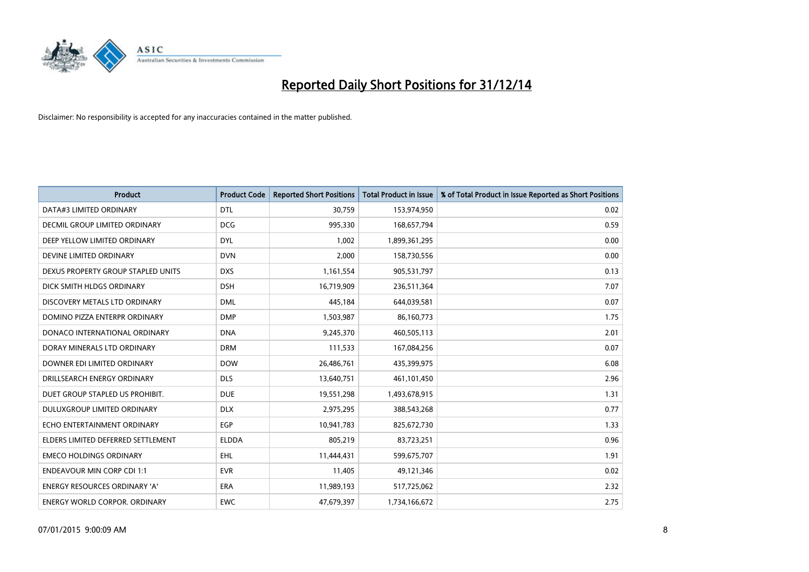

| <b>Product</b>                       | <b>Product Code</b> | <b>Reported Short Positions</b> | <b>Total Product in Issue</b> | % of Total Product in Issue Reported as Short Positions |
|--------------------------------------|---------------------|---------------------------------|-------------------------------|---------------------------------------------------------|
| DATA#3 LIMITED ORDINARY              | <b>DTL</b>          | 30,759                          | 153,974,950                   | 0.02                                                    |
| DECMIL GROUP LIMITED ORDINARY        | <b>DCG</b>          | 995,330                         | 168,657,794                   | 0.59                                                    |
| DEEP YELLOW LIMITED ORDINARY         | <b>DYL</b>          | 1,002                           | 1,899,361,295                 | 0.00                                                    |
| DEVINE LIMITED ORDINARY              | <b>DVN</b>          | 2,000                           | 158,730,556                   | 0.00                                                    |
| DEXUS PROPERTY GROUP STAPLED UNITS   | <b>DXS</b>          | 1,161,554                       | 905,531,797                   | 0.13                                                    |
| DICK SMITH HLDGS ORDINARY            | <b>DSH</b>          | 16,719,909                      | 236,511,364                   | 7.07                                                    |
| DISCOVERY METALS LTD ORDINARY        | <b>DML</b>          | 445,184                         | 644,039,581                   | 0.07                                                    |
| DOMINO PIZZA ENTERPR ORDINARY        | <b>DMP</b>          | 1,503,987                       | 86,160,773                    | 1.75                                                    |
| DONACO INTERNATIONAL ORDINARY        | <b>DNA</b>          | 9,245,370                       | 460,505,113                   | 2.01                                                    |
| DORAY MINERALS LTD ORDINARY          | <b>DRM</b>          | 111,533                         | 167,084,256                   | 0.07                                                    |
| DOWNER EDI LIMITED ORDINARY          | <b>DOW</b>          | 26,486,761                      | 435,399,975                   | 6.08                                                    |
| DRILLSEARCH ENERGY ORDINARY          | <b>DLS</b>          | 13,640,751                      | 461,101,450                   | 2.96                                                    |
| DUET GROUP STAPLED US PROHIBIT.      | <b>DUE</b>          | 19,551,298                      | 1,493,678,915                 | 1.31                                                    |
| DULUXGROUP LIMITED ORDINARY          | <b>DLX</b>          | 2,975,295                       | 388,543,268                   | 0.77                                                    |
| ECHO ENTERTAINMENT ORDINARY          | EGP                 | 10,941,783                      | 825,672,730                   | 1.33                                                    |
| ELDERS LIMITED DEFERRED SETTLEMENT   | <b>ELDDA</b>        | 805,219                         | 83,723,251                    | 0.96                                                    |
| <b>EMECO HOLDINGS ORDINARY</b>       | <b>EHL</b>          | 11,444,431                      | 599,675,707                   | 1.91                                                    |
| <b>ENDEAVOUR MIN CORP CDI 1:1</b>    | <b>EVR</b>          | 11,405                          | 49,121,346                    | 0.02                                                    |
| <b>ENERGY RESOURCES ORDINARY 'A'</b> | <b>ERA</b>          | 11,989,193                      | 517,725,062                   | 2.32                                                    |
| <b>ENERGY WORLD CORPOR. ORDINARY</b> | <b>EWC</b>          | 47,679,397                      | 1,734,166,672                 | 2.75                                                    |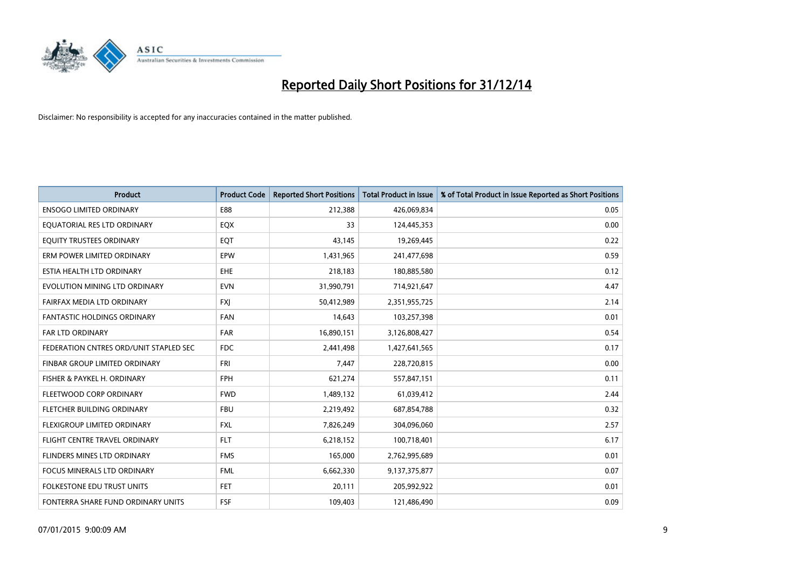

| <b>Product</b>                         | <b>Product Code</b> | <b>Reported Short Positions</b> | <b>Total Product in Issue</b> | % of Total Product in Issue Reported as Short Positions |
|----------------------------------------|---------------------|---------------------------------|-------------------------------|---------------------------------------------------------|
| <b>ENSOGO LIMITED ORDINARY</b>         | E88                 | 212,388                         | 426,069,834                   | 0.05                                                    |
| EQUATORIAL RES LTD ORDINARY            | EQX                 | 33                              | 124,445,353                   | 0.00                                                    |
| EQUITY TRUSTEES ORDINARY               | EQT                 | 43,145                          | 19,269,445                    | 0.22                                                    |
| ERM POWER LIMITED ORDINARY             | <b>EPW</b>          | 1,431,965                       | 241,477,698                   | 0.59                                                    |
| ESTIA HEALTH LTD ORDINARY              | <b>EHE</b>          | 218,183                         | 180,885,580                   | 0.12                                                    |
| EVOLUTION MINING LTD ORDINARY          | <b>EVN</b>          | 31,990,791                      | 714,921,647                   | 4.47                                                    |
| FAIRFAX MEDIA LTD ORDINARY             | <b>FXI</b>          | 50,412,989                      | 2,351,955,725                 | 2.14                                                    |
| <b>FANTASTIC HOLDINGS ORDINARY</b>     | <b>FAN</b>          | 14,643                          | 103,257,398                   | 0.01                                                    |
| <b>FAR LTD ORDINARY</b>                | <b>FAR</b>          | 16,890,151                      | 3,126,808,427                 | 0.54                                                    |
| FEDERATION CNTRES ORD/UNIT STAPLED SEC | <b>FDC</b>          | 2,441,498                       | 1,427,641,565                 | 0.17                                                    |
| FINBAR GROUP LIMITED ORDINARY          | FRI                 | 7,447                           | 228,720,815                   | 0.00                                                    |
| FISHER & PAYKEL H. ORDINARY            | <b>FPH</b>          | 621,274                         | 557,847,151                   | 0.11                                                    |
| FLEETWOOD CORP ORDINARY                | <b>FWD</b>          | 1,489,132                       | 61,039,412                    | 2.44                                                    |
| FLETCHER BUILDING ORDINARY             | <b>FBU</b>          | 2,219,492                       | 687,854,788                   | 0.32                                                    |
| FLEXIGROUP LIMITED ORDINARY            | <b>FXL</b>          | 7,826,249                       | 304,096,060                   | 2.57                                                    |
| FLIGHT CENTRE TRAVEL ORDINARY          | <b>FLT</b>          | 6,218,152                       | 100,718,401                   | 6.17                                                    |
| FLINDERS MINES LTD ORDINARY            | <b>FMS</b>          | 165,000                         | 2,762,995,689                 | 0.01                                                    |
| FOCUS MINERALS LTD ORDINARY            | <b>FML</b>          | 6,662,330                       | 9,137,375,877                 | 0.07                                                    |
| <b>FOLKESTONE EDU TRUST UNITS</b>      | <b>FET</b>          | 20,111                          | 205,992,922                   | 0.01                                                    |
| FONTERRA SHARE FUND ORDINARY UNITS     | <b>FSF</b>          | 109,403                         | 121,486,490                   | 0.09                                                    |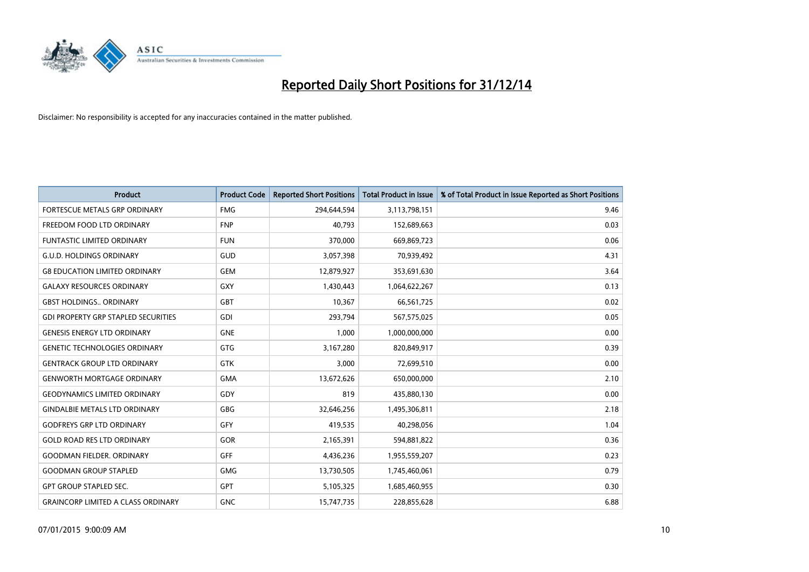

| <b>Product</b>                             | <b>Product Code</b> | <b>Reported Short Positions</b> | <b>Total Product in Issue</b> | % of Total Product in Issue Reported as Short Positions |
|--------------------------------------------|---------------------|---------------------------------|-------------------------------|---------------------------------------------------------|
| <b>FORTESCUE METALS GRP ORDINARY</b>       | <b>FMG</b>          | 294,644,594                     | 3,113,798,151                 | 9.46                                                    |
| FREEDOM FOOD LTD ORDINARY                  | <b>FNP</b>          | 40,793                          | 152,689,663                   | 0.03                                                    |
| <b>FUNTASTIC LIMITED ORDINARY</b>          | <b>FUN</b>          | 370,000                         | 669,869,723                   | 0.06                                                    |
| <b>G.U.D. HOLDINGS ORDINARY</b>            | GUD                 | 3,057,398                       | 70,939,492                    | 4.31                                                    |
| <b>G8 EDUCATION LIMITED ORDINARY</b>       | <b>GEM</b>          | 12,879,927                      | 353,691,630                   | 3.64                                                    |
| <b>GALAXY RESOURCES ORDINARY</b>           | GXY                 | 1,430,443                       | 1,064,622,267                 | 0.13                                                    |
| <b>GBST HOLDINGS ORDINARY</b>              | GBT                 | 10,367                          | 66,561,725                    | 0.02                                                    |
| <b>GDI PROPERTY GRP STAPLED SECURITIES</b> | GDI                 | 293,794                         | 567,575,025                   | 0.05                                                    |
| <b>GENESIS ENERGY LTD ORDINARY</b>         | <b>GNE</b>          | 1,000                           | 1,000,000,000                 | 0.00                                                    |
| <b>GENETIC TECHNOLOGIES ORDINARY</b>       | GTG                 | 3,167,280                       | 820,849,917                   | 0.39                                                    |
| <b>GENTRACK GROUP LTD ORDINARY</b>         | <b>GTK</b>          | 3,000                           | 72,699,510                    | 0.00                                                    |
| <b>GENWORTH MORTGAGE ORDINARY</b>          | <b>GMA</b>          | 13,672,626                      | 650,000,000                   | 2.10                                                    |
| <b>GEODYNAMICS LIMITED ORDINARY</b>        | GDY                 | 819                             | 435,880,130                   | 0.00                                                    |
| <b>GINDALBIE METALS LTD ORDINARY</b>       | GBG                 | 32,646,256                      | 1,495,306,811                 | 2.18                                                    |
| <b>GODFREYS GRP LTD ORDINARY</b>           | GFY                 | 419,535                         | 40,298,056                    | 1.04                                                    |
| <b>GOLD ROAD RES LTD ORDINARY</b>          | GOR                 | 2,165,391                       | 594,881,822                   | 0.36                                                    |
| <b>GOODMAN FIELDER. ORDINARY</b>           | <b>GFF</b>          | 4,436,236                       | 1,955,559,207                 | 0.23                                                    |
| <b>GOODMAN GROUP STAPLED</b>               | <b>GMG</b>          | 13,730,505                      | 1,745,460,061                 | 0.79                                                    |
| <b>GPT GROUP STAPLED SEC.</b>              | <b>GPT</b>          | 5,105,325                       | 1,685,460,955                 | 0.30                                                    |
| <b>GRAINCORP LIMITED A CLASS ORDINARY</b>  | <b>GNC</b>          | 15,747,735                      | 228,855,628                   | 6.88                                                    |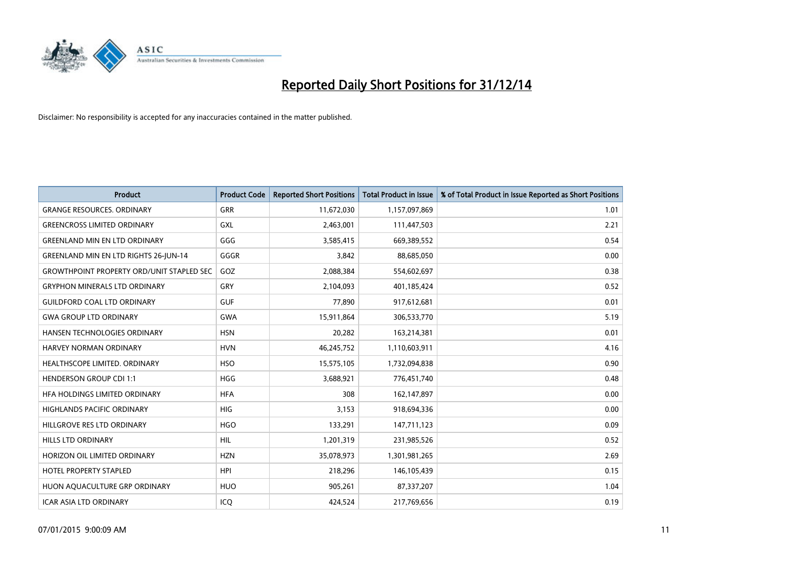

| Product                                          | <b>Product Code</b> | <b>Reported Short Positions</b> | <b>Total Product in Issue</b> | % of Total Product in Issue Reported as Short Positions |
|--------------------------------------------------|---------------------|---------------------------------|-------------------------------|---------------------------------------------------------|
| <b>GRANGE RESOURCES, ORDINARY</b>                | GRR                 | 11,672,030                      | 1,157,097,869                 | 1.01                                                    |
| <b>GREENCROSS LIMITED ORDINARY</b>               | GXL                 | 2,463,001                       | 111,447,503                   | 2.21                                                    |
| <b>GREENLAND MIN EN LTD ORDINARY</b>             | GGG                 | 3,585,415                       | 669,389,552                   | 0.54                                                    |
| <b>GREENLAND MIN EN LTD RIGHTS 26-JUN-14</b>     | GGGR                | 3,842                           | 88,685,050                    | 0.00                                                    |
| <b>GROWTHPOINT PROPERTY ORD/UNIT STAPLED SEC</b> | GOZ                 | 2,088,384                       | 554,602,697                   | 0.38                                                    |
| <b>GRYPHON MINERALS LTD ORDINARY</b>             | GRY                 | 2,104,093                       | 401,185,424                   | 0.52                                                    |
| <b>GUILDFORD COAL LTD ORDINARY</b>               | <b>GUF</b>          | 77.890                          | 917,612,681                   | 0.01                                                    |
| <b>GWA GROUP LTD ORDINARY</b>                    | <b>GWA</b>          | 15,911,864                      | 306,533,770                   | 5.19                                                    |
| HANSEN TECHNOLOGIES ORDINARY                     | <b>HSN</b>          | 20,282                          | 163,214,381                   | 0.01                                                    |
| <b>HARVEY NORMAN ORDINARY</b>                    | <b>HVN</b>          | 46,245,752                      | 1,110,603,911                 | 4.16                                                    |
| HEALTHSCOPE LIMITED. ORDINARY                    | <b>HSO</b>          | 15,575,105                      | 1,732,094,838                 | 0.90                                                    |
| <b>HENDERSON GROUP CDI 1:1</b>                   | HGG                 | 3,688,921                       | 776,451,740                   | 0.48                                                    |
| HFA HOLDINGS LIMITED ORDINARY                    | <b>HFA</b>          | 308                             | 162,147,897                   | 0.00                                                    |
| <b>HIGHLANDS PACIFIC ORDINARY</b>                | <b>HIG</b>          | 3,153                           | 918,694,336                   | 0.00                                                    |
| HILLGROVE RES LTD ORDINARY                       | <b>HGO</b>          | 133,291                         | 147,711,123                   | 0.09                                                    |
| <b>HILLS LTD ORDINARY</b>                        | <b>HIL</b>          | 1,201,319                       | 231,985,526                   | 0.52                                                    |
| HORIZON OIL LIMITED ORDINARY                     | <b>HZN</b>          | 35,078,973                      | 1,301,981,265                 | 2.69                                                    |
| HOTEL PROPERTY STAPLED                           | <b>HPI</b>          | 218,296                         | 146, 105, 439                 | 0.15                                                    |
| HUON AQUACULTURE GRP ORDINARY                    | <b>HUO</b>          | 905,261                         | 87,337,207                    | 1.04                                                    |
| <b>ICAR ASIA LTD ORDINARY</b>                    | ICQ                 | 424,524                         | 217,769,656                   | 0.19                                                    |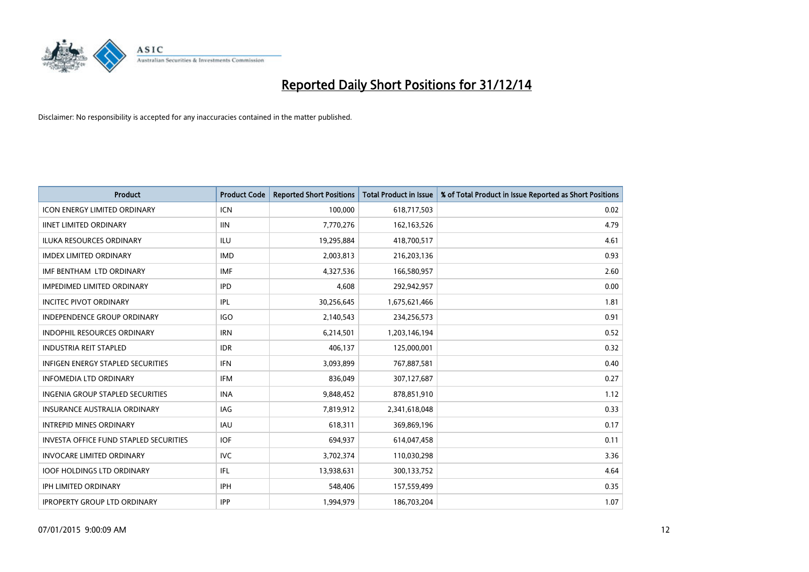

| <b>Product</b>                                | <b>Product Code</b> | <b>Reported Short Positions</b> | <b>Total Product in Issue</b> | % of Total Product in Issue Reported as Short Positions |
|-----------------------------------------------|---------------------|---------------------------------|-------------------------------|---------------------------------------------------------|
| <b>ICON ENERGY LIMITED ORDINARY</b>           | <b>ICN</b>          | 100,000                         | 618,717,503                   | 0.02                                                    |
| <b>IINET LIMITED ORDINARY</b>                 | <b>IIN</b>          | 7,770,276                       | 162, 163, 526                 | 4.79                                                    |
| <b>ILUKA RESOURCES ORDINARY</b>               | ILU                 | 19,295,884                      | 418,700,517                   | 4.61                                                    |
| <b>IMDEX LIMITED ORDINARY</b>                 | <b>IMD</b>          | 2,003,813                       | 216,203,136                   | 0.93                                                    |
| IMF BENTHAM LTD ORDINARY                      | <b>IMF</b>          | 4,327,536                       | 166,580,957                   | 2.60                                                    |
| <b>IMPEDIMED LIMITED ORDINARY</b>             | <b>IPD</b>          | 4,608                           | 292,942,957                   | 0.00                                                    |
| <b>INCITEC PIVOT ORDINARY</b>                 | IPL                 | 30,256,645                      | 1,675,621,466                 | 1.81                                                    |
| INDEPENDENCE GROUP ORDINARY                   | <b>IGO</b>          | 2,140,543                       | 234,256,573                   | 0.91                                                    |
| <b>INDOPHIL RESOURCES ORDINARY</b>            | <b>IRN</b>          | 6,214,501                       | 1,203,146,194                 | 0.52                                                    |
| <b>INDUSTRIA REIT STAPLED</b>                 | <b>IDR</b>          | 406,137                         | 125,000,001                   | 0.32                                                    |
| <b>INFIGEN ENERGY STAPLED SECURITIES</b>      | <b>IFN</b>          | 3,093,899                       | 767,887,581                   | 0.40                                                    |
| <b>INFOMEDIA LTD ORDINARY</b>                 | IFM                 | 836,049                         | 307,127,687                   | 0.27                                                    |
| <b>INGENIA GROUP STAPLED SECURITIES</b>       | <b>INA</b>          | 9,848,452                       | 878,851,910                   | 1.12                                                    |
| <b>INSURANCE AUSTRALIA ORDINARY</b>           | IAG                 | 7,819,912                       | 2,341,618,048                 | 0.33                                                    |
| <b>INTREPID MINES ORDINARY</b>                | <b>IAU</b>          | 618,311                         | 369,869,196                   | 0.17                                                    |
| <b>INVESTA OFFICE FUND STAPLED SECURITIES</b> | <b>IOF</b>          | 694,937                         | 614,047,458                   | 0.11                                                    |
| <b>INVOCARE LIMITED ORDINARY</b>              | <b>IVC</b>          | 3,702,374                       | 110,030,298                   | 3.36                                                    |
| <b>IOOF HOLDINGS LTD ORDINARY</b>             | IFL                 | 13,938,631                      | 300,133,752                   | 4.64                                                    |
| <b>IPH LIMITED ORDINARY</b>                   | <b>IPH</b>          | 548,406                         | 157,559,499                   | 0.35                                                    |
| <b>IPROPERTY GROUP LTD ORDINARY</b>           | IPP                 | 1,994,979                       | 186,703,204                   | 1.07                                                    |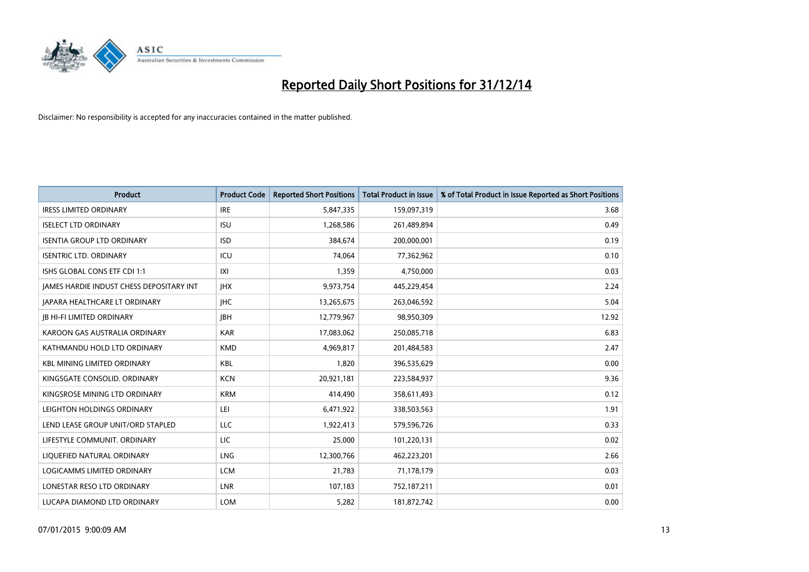

| <b>Product</b>                           | <b>Product Code</b> | <b>Reported Short Positions</b> | <b>Total Product in Issue</b> | % of Total Product in Issue Reported as Short Positions |
|------------------------------------------|---------------------|---------------------------------|-------------------------------|---------------------------------------------------------|
| <b>IRESS LIMITED ORDINARY</b>            | <b>IRE</b>          | 5,847,335                       | 159,097,319                   | 3.68                                                    |
| <b>ISELECT LTD ORDINARY</b>              | <b>ISU</b>          | 1,268,586                       | 261,489,894                   | 0.49                                                    |
| <b>ISENTIA GROUP LTD ORDINARY</b>        | <b>ISD</b>          | 384,674                         | 200,000,001                   | 0.19                                                    |
| <b>ISENTRIC LTD. ORDINARY</b>            | ICU                 | 74,064                          | 77,362,962                    | 0.10                                                    |
| ISHS GLOBAL CONS ETF CDI 1:1             | IXI                 | 1,359                           | 4,750,000                     | 0.03                                                    |
| JAMES HARDIE INDUST CHESS DEPOSITARY INT | <b>IHX</b>          | 9,973,754                       | 445,229,454                   | 2.24                                                    |
| JAPARA HEALTHCARE LT ORDINARY            | <b>IHC</b>          | 13,265,675                      | 263,046,592                   | 5.04                                                    |
| <b>JB HI-FI LIMITED ORDINARY</b>         | <b>IBH</b>          | 12,779,967                      | 98,950,309                    | 12.92                                                   |
| KAROON GAS AUSTRALIA ORDINARY            | <b>KAR</b>          | 17,083,062                      | 250,085,718                   | 6.83                                                    |
| KATHMANDU HOLD LTD ORDINARY              | <b>KMD</b>          | 4,969,817                       | 201,484,583                   | 2.47                                                    |
| <b>KBL MINING LIMITED ORDINARY</b>       | <b>KBL</b>          | 1,820                           | 396,535,629                   | 0.00                                                    |
| KINGSGATE CONSOLID. ORDINARY             | <b>KCN</b>          | 20,921,181                      | 223,584,937                   | 9.36                                                    |
| KINGSROSE MINING LTD ORDINARY            | <b>KRM</b>          | 414,490                         | 358,611,493                   | 0.12                                                    |
| LEIGHTON HOLDINGS ORDINARY               | LEI                 | 6,471,922                       | 338,503,563                   | 1.91                                                    |
| LEND LEASE GROUP UNIT/ORD STAPLED        | <b>LLC</b>          | 1,922,413                       | 579,596,726                   | 0.33                                                    |
| LIFESTYLE COMMUNIT. ORDINARY             | LIC                 | 25,000                          | 101,220,131                   | 0.02                                                    |
| LIQUEFIED NATURAL ORDINARY               | LNG                 | 12,300,766                      | 462,223,201                   | 2.66                                                    |
| <b>LOGICAMMS LIMITED ORDINARY</b>        | <b>LCM</b>          | 21,783                          | 71,178,179                    | 0.03                                                    |
| LONESTAR RESO LTD ORDINARY               | <b>LNR</b>          | 107,183                         | 752,187,211                   | 0.01                                                    |
| LUCAPA DIAMOND LTD ORDINARY              | <b>LOM</b>          | 5,282                           | 181,872,742                   | 0.00                                                    |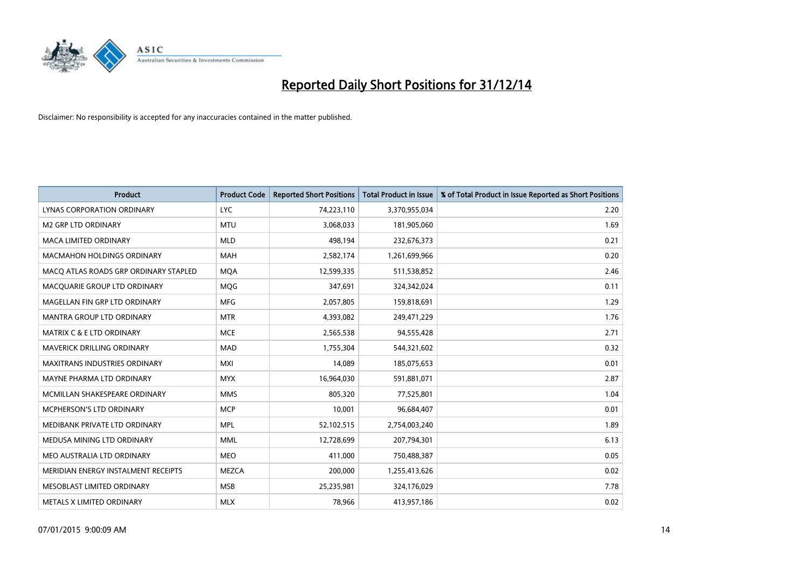

| <b>Product</b>                        | <b>Product Code</b> | <b>Reported Short Positions</b> | <b>Total Product in Issue</b> | % of Total Product in Issue Reported as Short Positions |
|---------------------------------------|---------------------|---------------------------------|-------------------------------|---------------------------------------------------------|
| LYNAS CORPORATION ORDINARY            | <b>LYC</b>          | 74,223,110                      | 3,370,955,034                 | 2.20                                                    |
| <b>M2 GRP LTD ORDINARY</b>            | <b>MTU</b>          | 3,068,033                       | 181,905,060                   | 1.69                                                    |
| <b>MACA LIMITED ORDINARY</b>          | <b>MLD</b>          | 498,194                         | 232,676,373                   | 0.21                                                    |
| <b>MACMAHON HOLDINGS ORDINARY</b>     | <b>MAH</b>          | 2,582,174                       | 1,261,699,966                 | 0.20                                                    |
| MACO ATLAS ROADS GRP ORDINARY STAPLED | <b>MOA</b>          | 12,599,335                      | 511,538,852                   | 2.46                                                    |
| MACQUARIE GROUP LTD ORDINARY          | <b>MQG</b>          | 347,691                         | 324,342,024                   | 0.11                                                    |
| MAGELLAN FIN GRP LTD ORDINARY         | <b>MFG</b>          | 2,057,805                       | 159,818,691                   | 1.29                                                    |
| MANTRA GROUP LTD ORDINARY             | <b>MTR</b>          | 4,393,082                       | 249,471,229                   | 1.76                                                    |
| <b>MATRIX C &amp; E LTD ORDINARY</b>  | <b>MCE</b>          | 2,565,538                       | 94,555,428                    | 2.71                                                    |
| MAVERICK DRILLING ORDINARY            | MAD                 | 1,755,304                       | 544,321,602                   | 0.32                                                    |
| MAXITRANS INDUSTRIES ORDINARY         | <b>MXI</b>          | 14,089                          | 185,075,653                   | 0.01                                                    |
| MAYNE PHARMA LTD ORDINARY             | <b>MYX</b>          | 16,964,030                      | 591,881,071                   | 2.87                                                    |
| MCMILLAN SHAKESPEARE ORDINARY         | <b>MMS</b>          | 805,320                         | 77,525,801                    | 1.04                                                    |
| <b>MCPHERSON'S LTD ORDINARY</b>       | <b>MCP</b>          | 10,001                          | 96,684,407                    | 0.01                                                    |
| MEDIBANK PRIVATE LTD ORDINARY         | <b>MPL</b>          | 52,102,515                      | 2,754,003,240                 | 1.89                                                    |
| MEDUSA MINING LTD ORDINARY            | <b>MML</b>          | 12,728,699                      | 207,794,301                   | 6.13                                                    |
| MEO AUSTRALIA LTD ORDINARY            | MEO                 | 411,000                         | 750,488,387                   | 0.05                                                    |
| MERIDIAN ENERGY INSTALMENT RECEIPTS   | <b>MEZCA</b>        | 200,000                         | 1,255,413,626                 | 0.02                                                    |
| MESOBLAST LIMITED ORDINARY            | <b>MSB</b>          | 25,235,981                      | 324,176,029                   | 7.78                                                    |
| METALS X LIMITED ORDINARY             | <b>MLX</b>          | 78,966                          | 413,957,186                   | 0.02                                                    |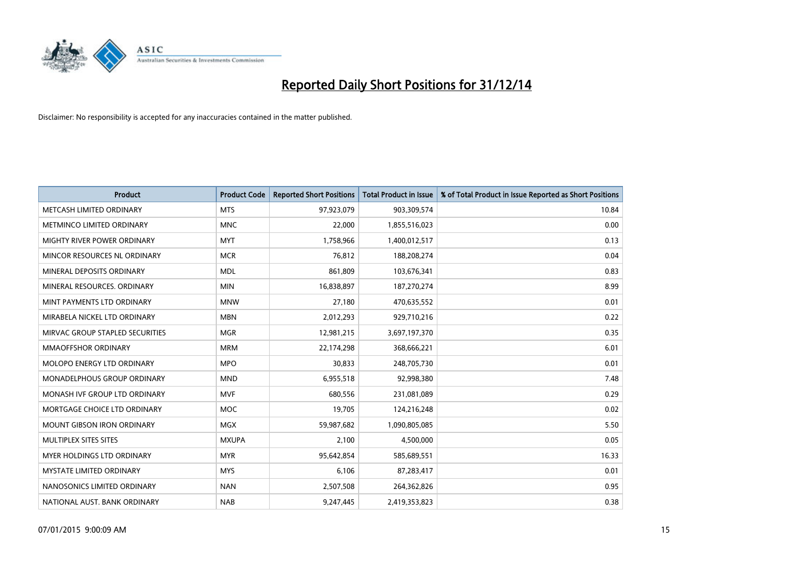

| <b>Product</b>                     | <b>Product Code</b> | <b>Reported Short Positions</b> | <b>Total Product in Issue</b> | % of Total Product in Issue Reported as Short Positions |
|------------------------------------|---------------------|---------------------------------|-------------------------------|---------------------------------------------------------|
| METCASH LIMITED ORDINARY           | <b>MTS</b>          | 97,923,079                      | 903,309,574                   | 10.84                                                   |
| METMINCO LIMITED ORDINARY          | <b>MNC</b>          | 22,000                          | 1,855,516,023                 | 0.00                                                    |
| <b>MIGHTY RIVER POWER ORDINARY</b> | <b>MYT</b>          | 1,758,966                       | 1,400,012,517                 | 0.13                                                    |
| MINCOR RESOURCES NL ORDINARY       | <b>MCR</b>          | 76,812                          | 188,208,274                   | 0.04                                                    |
| MINERAL DEPOSITS ORDINARY          | <b>MDL</b>          | 861,809                         | 103,676,341                   | 0.83                                                    |
| MINERAL RESOURCES, ORDINARY        | <b>MIN</b>          | 16,838,897                      | 187,270,274                   | 8.99                                                    |
| MINT PAYMENTS LTD ORDINARY         | <b>MNW</b>          | 27,180                          | 470,635,552                   | 0.01                                                    |
| MIRABELA NICKEL LTD ORDINARY       | <b>MBN</b>          | 2,012,293                       | 929,710,216                   | 0.22                                                    |
| MIRVAC GROUP STAPLED SECURITIES    | <b>MGR</b>          | 12,981,215                      | 3,697,197,370                 | 0.35                                                    |
| <b>MMAOFFSHOR ORDINARY</b>         | <b>MRM</b>          | 22,174,298                      | 368,666,221                   | 6.01                                                    |
| MOLOPO ENERGY LTD ORDINARY         | <b>MPO</b>          | 30,833                          | 248,705,730                   | 0.01                                                    |
| <b>MONADELPHOUS GROUP ORDINARY</b> | <b>MND</b>          | 6,955,518                       | 92,998,380                    | 7.48                                                    |
| MONASH IVF GROUP LTD ORDINARY      | <b>MVF</b>          | 680,556                         | 231,081,089                   | 0.29                                                    |
| MORTGAGE CHOICE LTD ORDINARY       | MOC                 | 19,705                          | 124,216,248                   | 0.02                                                    |
| <b>MOUNT GIBSON IRON ORDINARY</b>  | <b>MGX</b>          | 59,987,682                      | 1,090,805,085                 | 5.50                                                    |
| MULTIPLEX SITES SITES              | <b>MXUPA</b>        | 2,100                           | 4,500,000                     | 0.05                                                    |
| MYER HOLDINGS LTD ORDINARY         | <b>MYR</b>          | 95,642,854                      | 585,689,551                   | 16.33                                                   |
| MYSTATE LIMITED ORDINARY           | <b>MYS</b>          | 6,106                           | 87,283,417                    | 0.01                                                    |
| NANOSONICS LIMITED ORDINARY        | <b>NAN</b>          | 2,507,508                       | 264,362,826                   | 0.95                                                    |
| NATIONAL AUST. BANK ORDINARY       | <b>NAB</b>          | 9,247,445                       | 2,419,353,823                 | 0.38                                                    |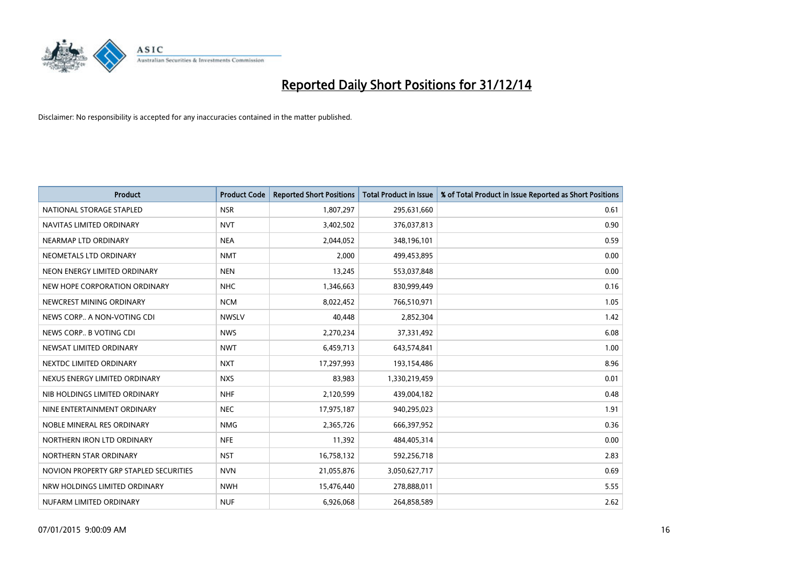

| <b>Product</b>                         | <b>Product Code</b> | <b>Reported Short Positions</b> | <b>Total Product in Issue</b> | % of Total Product in Issue Reported as Short Positions |
|----------------------------------------|---------------------|---------------------------------|-------------------------------|---------------------------------------------------------|
| NATIONAL STORAGE STAPLED               | <b>NSR</b>          | 1,807,297                       | 295,631,660                   | 0.61                                                    |
| NAVITAS LIMITED ORDINARY               | <b>NVT</b>          | 3,402,502                       | 376,037,813                   | 0.90                                                    |
| NEARMAP LTD ORDINARY                   | <b>NEA</b>          | 2,044,052                       | 348,196,101                   | 0.59                                                    |
| NEOMETALS LTD ORDINARY                 | <b>NMT</b>          | 2,000                           | 499,453,895                   | 0.00                                                    |
| NEON ENERGY LIMITED ORDINARY           | <b>NEN</b>          | 13,245                          | 553,037,848                   | 0.00                                                    |
| NEW HOPE CORPORATION ORDINARY          | <b>NHC</b>          | 1,346,663                       | 830,999,449                   | 0.16                                                    |
| NEWCREST MINING ORDINARY               | <b>NCM</b>          | 8,022,452                       | 766,510,971                   | 1.05                                                    |
| NEWS CORP A NON-VOTING CDI             | <b>NWSLV</b>        | 40,448                          | 2,852,304                     | 1.42                                                    |
| NEWS CORP B VOTING CDI                 | <b>NWS</b>          | 2,270,234                       | 37,331,492                    | 6.08                                                    |
| NEWSAT LIMITED ORDINARY                | <b>NWT</b>          | 6,459,713                       | 643,574,841                   | 1.00                                                    |
| NEXTDC LIMITED ORDINARY                | <b>NXT</b>          | 17,297,993                      | 193,154,486                   | 8.96                                                    |
| NEXUS ENERGY LIMITED ORDINARY          | <b>NXS</b>          | 83,983                          | 1,330,219,459                 | 0.01                                                    |
| NIB HOLDINGS LIMITED ORDINARY          | <b>NHF</b>          | 2,120,599                       | 439,004,182                   | 0.48                                                    |
| NINE ENTERTAINMENT ORDINARY            | <b>NEC</b>          | 17,975,187                      | 940,295,023                   | 1.91                                                    |
| NOBLE MINERAL RES ORDINARY             | <b>NMG</b>          | 2,365,726                       | 666,397,952                   | 0.36                                                    |
| NORTHERN IRON LTD ORDINARY             | <b>NFE</b>          | 11,392                          | 484,405,314                   | 0.00                                                    |
| NORTHERN STAR ORDINARY                 | <b>NST</b>          | 16,758,132                      | 592,256,718                   | 2.83                                                    |
| NOVION PROPERTY GRP STAPLED SECURITIES | <b>NVN</b>          | 21,055,876                      | 3,050,627,717                 | 0.69                                                    |
| NRW HOLDINGS LIMITED ORDINARY          | <b>NWH</b>          | 15,476,440                      | 278,888,011                   | 5.55                                                    |
| NUFARM LIMITED ORDINARY                | <b>NUF</b>          | 6,926,068                       | 264,858,589                   | 2.62                                                    |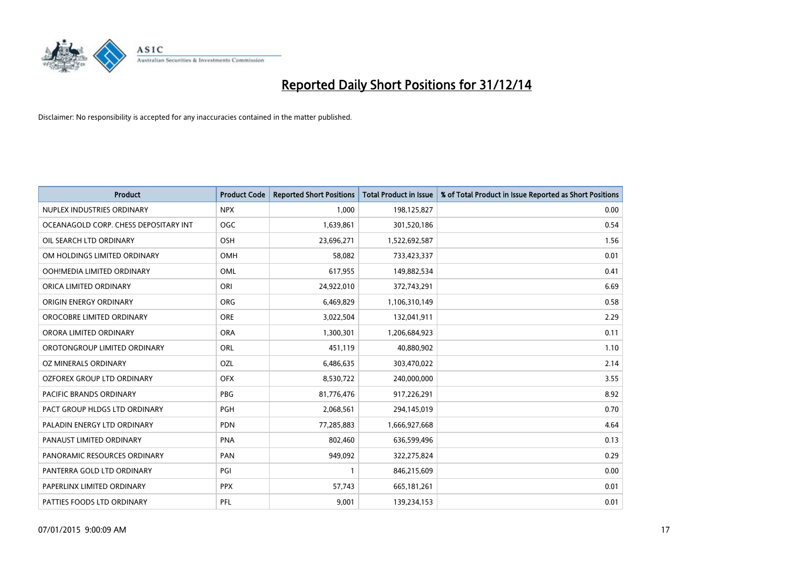

| <b>Product</b>                        | <b>Product Code</b> | <b>Reported Short Positions</b> | <b>Total Product in Issue</b> | % of Total Product in Issue Reported as Short Positions |
|---------------------------------------|---------------------|---------------------------------|-------------------------------|---------------------------------------------------------|
| NUPLEX INDUSTRIES ORDINARY            | <b>NPX</b>          | 1,000                           | 198,125,827                   | 0.00                                                    |
| OCEANAGOLD CORP. CHESS DEPOSITARY INT | <b>OGC</b>          | 1,639,861                       | 301,520,186                   | 0.54                                                    |
| OIL SEARCH LTD ORDINARY               | OSH                 | 23,696,271                      | 1,522,692,587                 | 1.56                                                    |
| OM HOLDINGS LIMITED ORDINARY          | OMH                 | 58,082                          | 733,423,337                   | 0.01                                                    |
| OOH!MEDIA LIMITED ORDINARY            | OML                 | 617,955                         | 149,882,534                   | 0.41                                                    |
| ORICA LIMITED ORDINARY                | ORI                 | 24,922,010                      | 372,743,291                   | 6.69                                                    |
| ORIGIN ENERGY ORDINARY                | <b>ORG</b>          | 6,469,829                       | 1,106,310,149                 | 0.58                                                    |
| OROCOBRE LIMITED ORDINARY             | <b>ORE</b>          | 3,022,504                       | 132,041,911                   | 2.29                                                    |
| ORORA LIMITED ORDINARY                | <b>ORA</b>          | 1,300,301                       | 1,206,684,923                 | 0.11                                                    |
| OROTONGROUP LIMITED ORDINARY          | ORL                 | 451,119                         | 40,880,902                    | 1.10                                                    |
| OZ MINERALS ORDINARY                  | OZL                 | 6,486,635                       | 303,470,022                   | 2.14                                                    |
| <b>OZFOREX GROUP LTD ORDINARY</b>     | <b>OFX</b>          | 8,530,722                       | 240,000,000                   | 3.55                                                    |
| <b>PACIFIC BRANDS ORDINARY</b>        | <b>PBG</b>          | 81,776,476                      | 917,226,291                   | 8.92                                                    |
| PACT GROUP HLDGS LTD ORDINARY         | <b>PGH</b>          | 2,068,561                       | 294,145,019                   | 0.70                                                    |
| PALADIN ENERGY LTD ORDINARY           | <b>PDN</b>          | 77,285,883                      | 1,666,927,668                 | 4.64                                                    |
| PANAUST LIMITED ORDINARY              | <b>PNA</b>          | 802,460                         | 636,599,496                   | 0.13                                                    |
| PANORAMIC RESOURCES ORDINARY          | PAN                 | 949,092                         | 322,275,824                   | 0.29                                                    |
| PANTERRA GOLD LTD ORDINARY            | PGI                 | 1                               | 846,215,609                   | 0.00                                                    |
| PAPERLINX LIMITED ORDINARY            | <b>PPX</b>          | 57,743                          | 665, 181, 261                 | 0.01                                                    |
| PATTIES FOODS LTD ORDINARY            | PFL                 | 9,001                           | 139,234,153                   | 0.01                                                    |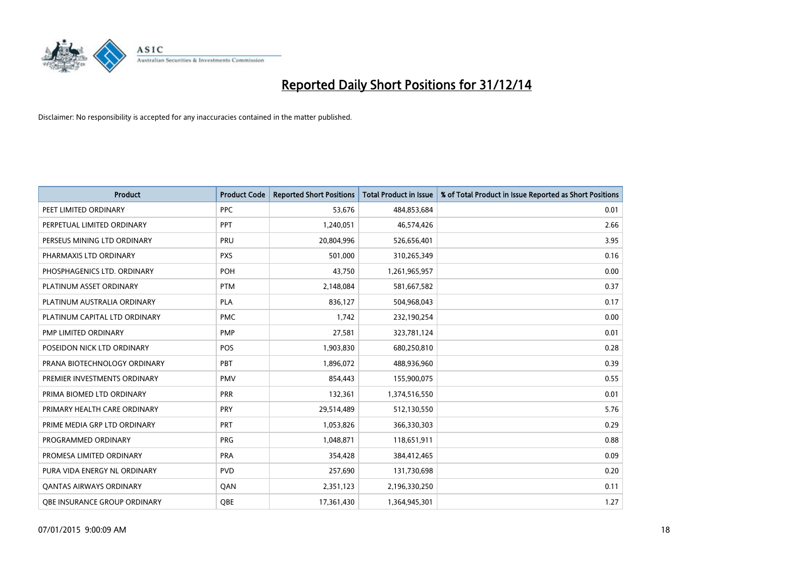

| <b>Product</b>                      | <b>Product Code</b> | <b>Reported Short Positions</b> | <b>Total Product in Issue</b> | % of Total Product in Issue Reported as Short Positions |
|-------------------------------------|---------------------|---------------------------------|-------------------------------|---------------------------------------------------------|
| PEET LIMITED ORDINARY               | <b>PPC</b>          | 53,676                          | 484,853,684                   | 0.01                                                    |
| PERPETUAL LIMITED ORDINARY          | <b>PPT</b>          | 1,240,051                       | 46,574,426                    | 2.66                                                    |
| PERSEUS MINING LTD ORDINARY         | <b>PRU</b>          | 20,804,996                      | 526,656,401                   | 3.95                                                    |
| PHARMAXIS LTD ORDINARY              | <b>PXS</b>          | 501,000                         | 310,265,349                   | 0.16                                                    |
| PHOSPHAGENICS LTD. ORDINARY         | <b>POH</b>          | 43,750                          | 1,261,965,957                 | 0.00                                                    |
| PLATINUM ASSET ORDINARY             | <b>PTM</b>          | 2,148,084                       | 581,667,582                   | 0.37                                                    |
| PLATINUM AUSTRALIA ORDINARY         | <b>PLA</b>          | 836,127                         | 504,968,043                   | 0.17                                                    |
| PLATINUM CAPITAL LTD ORDINARY       | <b>PMC</b>          | 1,742                           | 232,190,254                   | 0.00                                                    |
| PMP LIMITED ORDINARY                | <b>PMP</b>          | 27,581                          | 323,781,124                   | 0.01                                                    |
| POSEIDON NICK LTD ORDINARY          | <b>POS</b>          | 1,903,830                       | 680,250,810                   | 0.28                                                    |
| PRANA BIOTECHNOLOGY ORDINARY        | PBT                 | 1,896,072                       | 488,936,960                   | 0.39                                                    |
| PREMIER INVESTMENTS ORDINARY        | <b>PMV</b>          | 854,443                         | 155,900,075                   | 0.55                                                    |
| PRIMA BIOMED LTD ORDINARY           | <b>PRR</b>          | 132,361                         | 1,374,516,550                 | 0.01                                                    |
| PRIMARY HEALTH CARE ORDINARY        | <b>PRY</b>          | 29,514,489                      | 512,130,550                   | 5.76                                                    |
| PRIME MEDIA GRP LTD ORDINARY        | <b>PRT</b>          | 1,053,826                       | 366,330,303                   | 0.29                                                    |
| PROGRAMMED ORDINARY                 | <b>PRG</b>          | 1,048,871                       | 118,651,911                   | 0.88                                                    |
| PROMESA LIMITED ORDINARY            | <b>PRA</b>          | 354,428                         | 384,412,465                   | 0.09                                                    |
| PURA VIDA ENERGY NL ORDINARY        | <b>PVD</b>          | 257,690                         | 131,730,698                   | 0.20                                                    |
| <b>QANTAS AIRWAYS ORDINARY</b>      | QAN                 | 2,351,123                       | 2,196,330,250                 | 0.11                                                    |
| <b>OBE INSURANCE GROUP ORDINARY</b> | <b>OBE</b>          | 17,361,430                      | 1,364,945,301                 | 1.27                                                    |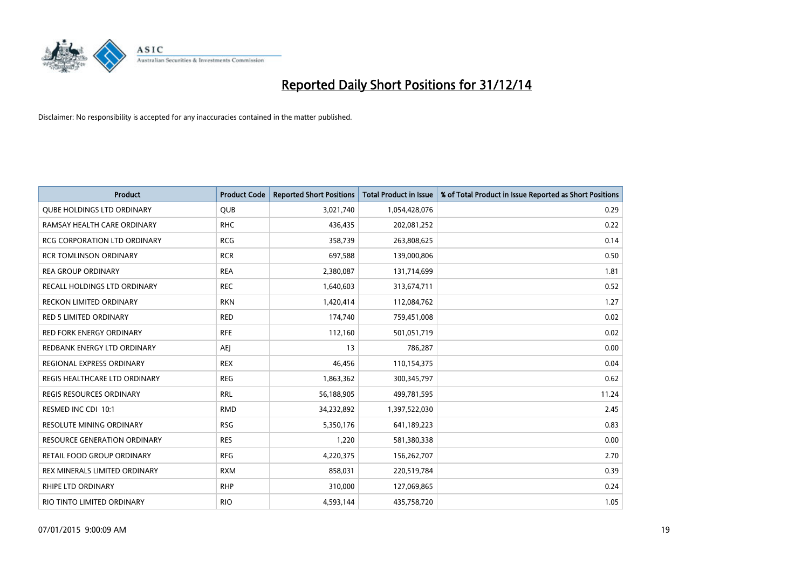

| <b>Product</b>                      | <b>Product Code</b> | <b>Reported Short Positions</b> | <b>Total Product in Issue</b> | % of Total Product in Issue Reported as Short Positions |
|-------------------------------------|---------------------|---------------------------------|-------------------------------|---------------------------------------------------------|
| <b>QUBE HOLDINGS LTD ORDINARY</b>   | <b>QUB</b>          | 3,021,740                       | 1,054,428,076                 | 0.29                                                    |
| RAMSAY HEALTH CARE ORDINARY         | <b>RHC</b>          | 436,435                         | 202,081,252                   | 0.22                                                    |
| <b>RCG CORPORATION LTD ORDINARY</b> | <b>RCG</b>          | 358,739                         | 263,808,625                   | 0.14                                                    |
| <b>RCR TOMLINSON ORDINARY</b>       | <b>RCR</b>          | 697,588                         | 139,000,806                   | 0.50                                                    |
| <b>REA GROUP ORDINARY</b>           | <b>REA</b>          | 2,380,087                       | 131,714,699                   | 1.81                                                    |
| <b>RECALL HOLDINGS LTD ORDINARY</b> | <b>REC</b>          | 1,640,603                       | 313,674,711                   | 0.52                                                    |
| <b>RECKON LIMITED ORDINARY</b>      | <b>RKN</b>          | 1,420,414                       | 112,084,762                   | 1.27                                                    |
| RED 5 LIMITED ORDINARY              | <b>RED</b>          | 174,740                         | 759,451,008                   | 0.02                                                    |
| <b>RED FORK ENERGY ORDINARY</b>     | <b>RFE</b>          | 112,160                         | 501,051,719                   | 0.02                                                    |
| REDBANK ENERGY LTD ORDINARY         | AEJ                 | 13                              | 786,287                       | 0.00                                                    |
| REGIONAL EXPRESS ORDINARY           | <b>REX</b>          | 46,456                          | 110,154,375                   | 0.04                                                    |
| REGIS HEALTHCARE LTD ORDINARY       | <b>REG</b>          | 1,863,362                       | 300,345,797                   | 0.62                                                    |
| REGIS RESOURCES ORDINARY            | <b>RRL</b>          | 56,188,905                      | 499,781,595                   | 11.24                                                   |
| RESMED INC CDI 10:1                 | <b>RMD</b>          | 34,232,892                      | 1,397,522,030                 | 2.45                                                    |
| <b>RESOLUTE MINING ORDINARY</b>     | <b>RSG</b>          | 5,350,176                       | 641,189,223                   | 0.83                                                    |
| <b>RESOURCE GENERATION ORDINARY</b> | <b>RES</b>          | 1,220                           | 581,380,338                   | 0.00                                                    |
| RETAIL FOOD GROUP ORDINARY          | <b>RFG</b>          | 4,220,375                       | 156,262,707                   | 2.70                                                    |
| REX MINERALS LIMITED ORDINARY       | <b>RXM</b>          | 858,031                         | 220,519,784                   | 0.39                                                    |
| RHIPE LTD ORDINARY                  | <b>RHP</b>          | 310,000                         | 127,069,865                   | 0.24                                                    |
| RIO TINTO LIMITED ORDINARY          | <b>RIO</b>          | 4,593,144                       | 435,758,720                   | 1.05                                                    |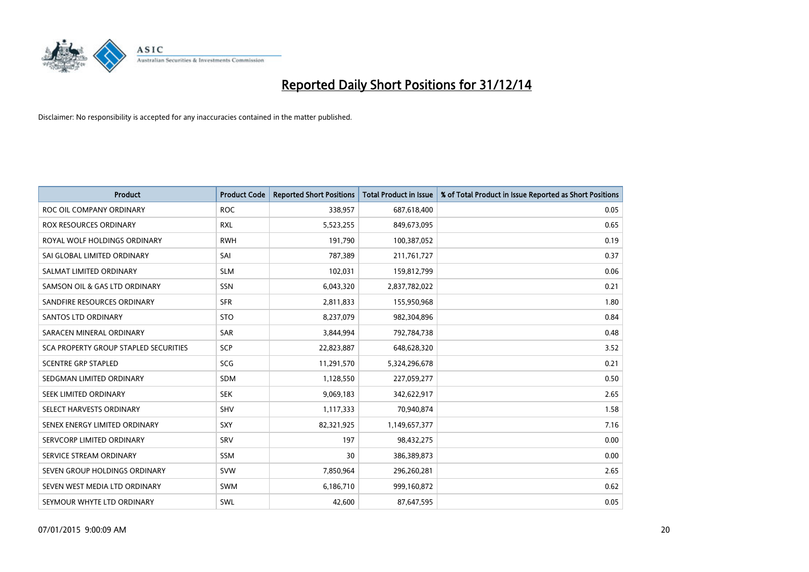

| <b>Product</b>                        | <b>Product Code</b> | <b>Reported Short Positions</b> | <b>Total Product in Issue</b> | % of Total Product in Issue Reported as Short Positions |
|---------------------------------------|---------------------|---------------------------------|-------------------------------|---------------------------------------------------------|
| ROC OIL COMPANY ORDINARY              | <b>ROC</b>          | 338,957                         | 687,618,400                   | 0.05                                                    |
| <b>ROX RESOURCES ORDINARY</b>         | <b>RXL</b>          | 5,523,255                       | 849,673,095                   | 0.65                                                    |
| ROYAL WOLF HOLDINGS ORDINARY          | <b>RWH</b>          | 191,790                         | 100,387,052                   | 0.19                                                    |
| SAI GLOBAL LIMITED ORDINARY           | SAI                 | 787,389                         | 211,761,727                   | 0.37                                                    |
| SALMAT LIMITED ORDINARY               | <b>SLM</b>          | 102,031                         | 159,812,799                   | 0.06                                                    |
| SAMSON OIL & GAS LTD ORDINARY         | SSN                 | 6,043,320                       | 2,837,782,022                 | 0.21                                                    |
| SANDFIRE RESOURCES ORDINARY           | <b>SFR</b>          | 2,811,833                       | 155,950,968                   | 1.80                                                    |
| <b>SANTOS LTD ORDINARY</b>            | <b>STO</b>          | 8,237,079                       | 982,304,896                   | 0.84                                                    |
| SARACEN MINERAL ORDINARY              | SAR                 | 3,844,994                       | 792,784,738                   | 0.48                                                    |
| SCA PROPERTY GROUP STAPLED SECURITIES | SCP                 | 22,823,887                      | 648,628,320                   | 3.52                                                    |
| <b>SCENTRE GRP STAPLED</b>            | <b>SCG</b>          | 11,291,570                      | 5,324,296,678                 | 0.21                                                    |
| SEDGMAN LIMITED ORDINARY              | SDM                 | 1,128,550                       | 227,059,277                   | 0.50                                                    |
| SEEK LIMITED ORDINARY                 | <b>SEK</b>          | 9,069,183                       | 342,622,917                   | 2.65                                                    |
| SELECT HARVESTS ORDINARY              | SHV                 | 1,117,333                       | 70,940,874                    | 1.58                                                    |
| SENEX ENERGY LIMITED ORDINARY         | <b>SXY</b>          | 82,321,925                      | 1,149,657,377                 | 7.16                                                    |
| SERVCORP LIMITED ORDINARY             | SRV                 | 197                             | 98,432,275                    | 0.00                                                    |
| SERVICE STREAM ORDINARY               | SSM                 | 30                              | 386,389,873                   | 0.00                                                    |
| SEVEN GROUP HOLDINGS ORDINARY         | <b>SVW</b>          | 7,850,964                       | 296,260,281                   | 2.65                                                    |
| SEVEN WEST MEDIA LTD ORDINARY         | <b>SWM</b>          | 6,186,710                       | 999,160,872                   | 0.62                                                    |
| SEYMOUR WHYTE LTD ORDINARY            | SWL                 | 42,600                          | 87,647,595                    | 0.05                                                    |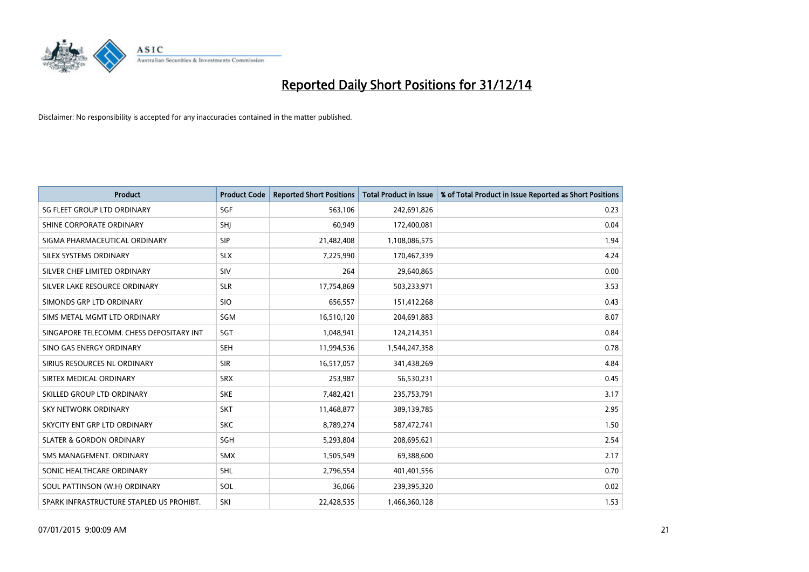

| <b>Product</b>                           | <b>Product Code</b> | <b>Reported Short Positions</b> | <b>Total Product in Issue</b> | % of Total Product in Issue Reported as Short Positions |
|------------------------------------------|---------------------|---------------------------------|-------------------------------|---------------------------------------------------------|
| SG FLEET GROUP LTD ORDINARY              | SGF                 | 563,106                         | 242,691,826                   | 0.23                                                    |
| SHINE CORPORATE ORDINARY                 | <b>SHI</b>          | 60,949                          | 172,400,081                   | 0.04                                                    |
| SIGMA PHARMACEUTICAL ORDINARY            | <b>SIP</b>          | 21,482,408                      | 1,108,086,575                 | 1.94                                                    |
| SILEX SYSTEMS ORDINARY                   | <b>SLX</b>          | 7,225,990                       | 170,467,339                   | 4.24                                                    |
| SILVER CHEF LIMITED ORDINARY             | SIV                 | 264                             | 29,640,865                    | 0.00                                                    |
| SILVER LAKE RESOURCE ORDINARY            | <b>SLR</b>          | 17,754,869                      | 503,233,971                   | 3.53                                                    |
| SIMONDS GRP LTD ORDINARY                 | <b>SIO</b>          | 656,557                         | 151,412,268                   | 0.43                                                    |
| SIMS METAL MGMT LTD ORDINARY             | SGM                 | 16,510,120                      | 204,691,883                   | 8.07                                                    |
| SINGAPORE TELECOMM. CHESS DEPOSITARY INT | SGT                 | 1,048,941                       | 124,214,351                   | 0.84                                                    |
| SINO GAS ENERGY ORDINARY                 | <b>SEH</b>          | 11,994,536                      | 1,544,247,358                 | 0.78                                                    |
| SIRIUS RESOURCES NL ORDINARY             | <b>SIR</b>          | 16,517,057                      | 341,438,269                   | 4.84                                                    |
| SIRTEX MEDICAL ORDINARY                  | <b>SRX</b>          | 253,987                         | 56,530,231                    | 0.45                                                    |
| SKILLED GROUP LTD ORDINARY               | <b>SKE</b>          | 7,482,421                       | 235,753,791                   | 3.17                                                    |
| <b>SKY NETWORK ORDINARY</b>              | <b>SKT</b>          | 11,468,877                      | 389,139,785                   | 2.95                                                    |
| SKYCITY ENT GRP LTD ORDINARY             | <b>SKC</b>          | 8,789,274                       | 587,472,741                   | 1.50                                                    |
| <b>SLATER &amp; GORDON ORDINARY</b>      | SGH                 | 5,293,804                       | 208,695,621                   | 2.54                                                    |
| SMS MANAGEMENT. ORDINARY                 | <b>SMX</b>          | 1,505,549                       | 69,388,600                    | 2.17                                                    |
| SONIC HEALTHCARE ORDINARY                | <b>SHL</b>          | 2,796,554                       | 401,401,556                   | 0.70                                                    |
| SOUL PATTINSON (W.H) ORDINARY            | SOL                 | 36,066                          | 239,395,320                   | 0.02                                                    |
| SPARK INFRASTRUCTURE STAPLED US PROHIBT. | SKI                 | 22,428,535                      | 1,466,360,128                 | 1.53                                                    |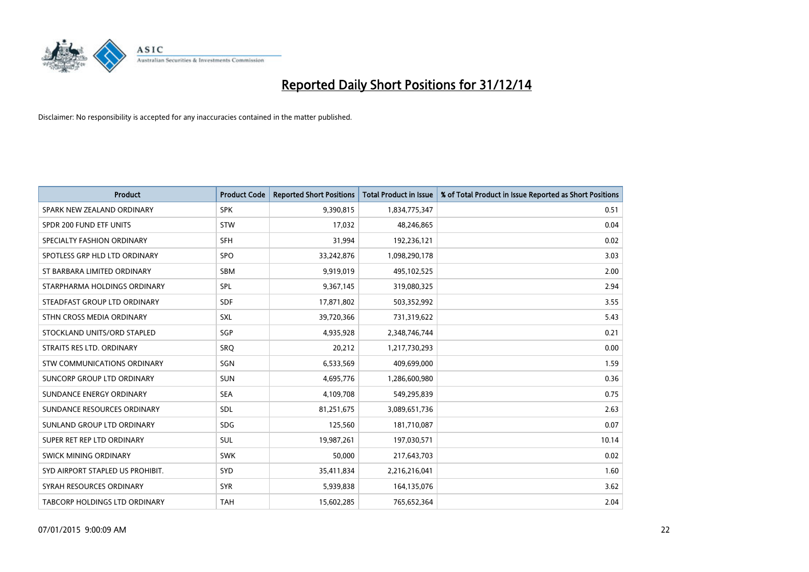

| <b>Product</b>                       | <b>Product Code</b> | <b>Reported Short Positions</b> | <b>Total Product in Issue</b> | % of Total Product in Issue Reported as Short Positions |
|--------------------------------------|---------------------|---------------------------------|-------------------------------|---------------------------------------------------------|
| SPARK NEW ZEALAND ORDINARY           | <b>SPK</b>          | 9,390,815                       | 1,834,775,347                 | 0.51                                                    |
| SPDR 200 FUND ETF UNITS              | <b>STW</b>          | 17,032                          | 48,246,865                    | 0.04                                                    |
| SPECIALTY FASHION ORDINARY           | <b>SFH</b>          | 31,994                          | 192,236,121                   | 0.02                                                    |
| SPOTLESS GRP HLD LTD ORDINARY        | <b>SPO</b>          | 33,242,876                      | 1,098,290,178                 | 3.03                                                    |
| ST BARBARA LIMITED ORDINARY          | <b>SBM</b>          | 9,919,019                       | 495,102,525                   | 2.00                                                    |
| STARPHARMA HOLDINGS ORDINARY         | SPL                 | 9,367,145                       | 319,080,325                   | 2.94                                                    |
| STEADFAST GROUP LTD ORDINARY         | <b>SDF</b>          | 17,871,802                      | 503,352,992                   | 3.55                                                    |
| STHN CROSS MEDIA ORDINARY            | <b>SXL</b>          | 39,720,366                      | 731,319,622                   | 5.43                                                    |
| STOCKLAND UNITS/ORD STAPLED          | SGP                 | 4,935,928                       | 2,348,746,744                 | 0.21                                                    |
| STRAITS RES LTD. ORDINARY            | SRO                 | 20,212                          | 1,217,730,293                 | 0.00                                                    |
| STW COMMUNICATIONS ORDINARY          | SGN                 | 6,533,569                       | 409,699,000                   | 1.59                                                    |
| SUNCORP GROUP LTD ORDINARY           | <b>SUN</b>          | 4,695,776                       | 1,286,600,980                 | 0.36                                                    |
| SUNDANCE ENERGY ORDINARY             | <b>SEA</b>          | 4,109,708                       | 549,295,839                   | 0.75                                                    |
| SUNDANCE RESOURCES ORDINARY          | <b>SDL</b>          | 81,251,675                      | 3,089,651,736                 | 2.63                                                    |
| SUNLAND GROUP LTD ORDINARY           | <b>SDG</b>          | 125,560                         | 181,710,087                   | 0.07                                                    |
| SUPER RET REP LTD ORDINARY           | SUL                 | 19,987,261                      | 197,030,571                   | 10.14                                                   |
| SWICK MINING ORDINARY                | <b>SWK</b>          | 50,000                          | 217,643,703                   | 0.02                                                    |
| SYD AIRPORT STAPLED US PROHIBIT.     | <b>SYD</b>          | 35,411,834                      | 2,216,216,041                 | 1.60                                                    |
| SYRAH RESOURCES ORDINARY             | <b>SYR</b>          | 5,939,838                       | 164,135,076                   | 3.62                                                    |
| <b>TABCORP HOLDINGS LTD ORDINARY</b> | <b>TAH</b>          | 15,602,285                      | 765,652,364                   | 2.04                                                    |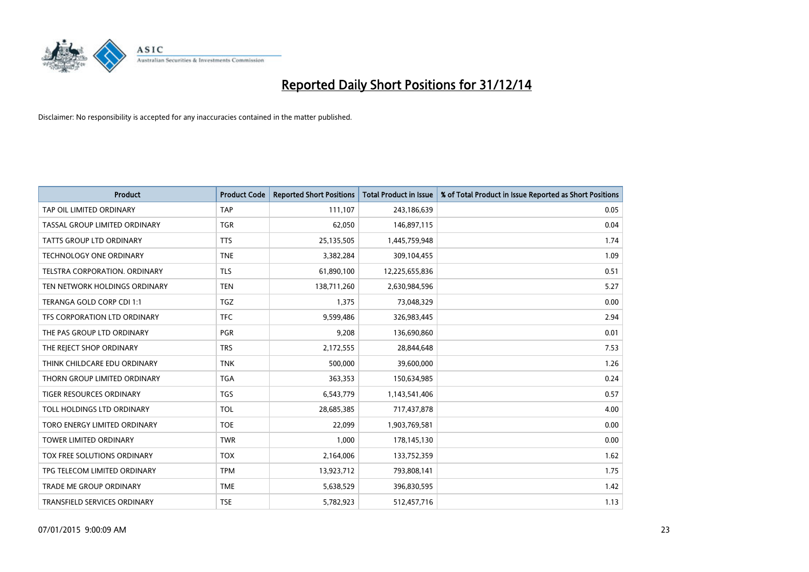

| <b>Product</b>                      | <b>Product Code</b> | <b>Reported Short Positions</b> | <b>Total Product in Issue</b> | % of Total Product in Issue Reported as Short Positions |
|-------------------------------------|---------------------|---------------------------------|-------------------------------|---------------------------------------------------------|
| TAP OIL LIMITED ORDINARY            | <b>TAP</b>          | 111,107                         | 243,186,639                   | 0.05                                                    |
| TASSAL GROUP LIMITED ORDINARY       | <b>TGR</b>          | 62,050                          | 146,897,115                   | 0.04                                                    |
| <b>TATTS GROUP LTD ORDINARY</b>     | <b>TTS</b>          | 25,135,505                      | 1,445,759,948                 | 1.74                                                    |
| TECHNOLOGY ONE ORDINARY             | <b>TNE</b>          | 3,382,284                       | 309,104,455                   | 1.09                                                    |
| TELSTRA CORPORATION, ORDINARY       | <b>TLS</b>          | 61,890,100                      | 12,225,655,836                | 0.51                                                    |
| TEN NETWORK HOLDINGS ORDINARY       | <b>TEN</b>          | 138,711,260                     | 2,630,984,596                 | 5.27                                                    |
| TERANGA GOLD CORP CDI 1:1           | <b>TGZ</b>          | 1,375                           | 73,048,329                    | 0.00                                                    |
| TFS CORPORATION LTD ORDINARY        | <b>TFC</b>          | 9,599,486                       | 326,983,445                   | 2.94                                                    |
| THE PAS GROUP LTD ORDINARY          | <b>PGR</b>          | 9,208                           | 136,690,860                   | 0.01                                                    |
| THE REJECT SHOP ORDINARY            | <b>TRS</b>          | 2,172,555                       | 28,844,648                    | 7.53                                                    |
| THINK CHILDCARE EDU ORDINARY        | <b>TNK</b>          | 500,000                         | 39,600,000                    | 1.26                                                    |
| THORN GROUP LIMITED ORDINARY        | <b>TGA</b>          | 363,353                         | 150,634,985                   | 0.24                                                    |
| <b>TIGER RESOURCES ORDINARY</b>     | <b>TGS</b>          | 6,543,779                       | 1,143,541,406                 | 0.57                                                    |
| TOLL HOLDINGS LTD ORDINARY          | <b>TOL</b>          | 28,685,385                      | 717,437,878                   | 4.00                                                    |
| TORO ENERGY LIMITED ORDINARY        | <b>TOE</b>          | 22,099                          | 1,903,769,581                 | 0.00                                                    |
| <b>TOWER LIMITED ORDINARY</b>       | <b>TWR</b>          | 1,000                           | 178,145,130                   | 0.00                                                    |
| TOX FREE SOLUTIONS ORDINARY         | <b>TOX</b>          | 2,164,006                       | 133,752,359                   | 1.62                                                    |
| TPG TELECOM LIMITED ORDINARY        | <b>TPM</b>          | 13,923,712                      | 793,808,141                   | 1.75                                                    |
| <b>TRADE ME GROUP ORDINARY</b>      | <b>TME</b>          | 5,638,529                       | 396,830,595                   | 1.42                                                    |
| <b>TRANSFIELD SERVICES ORDINARY</b> | <b>TSE</b>          | 5,782,923                       | 512,457,716                   | 1.13                                                    |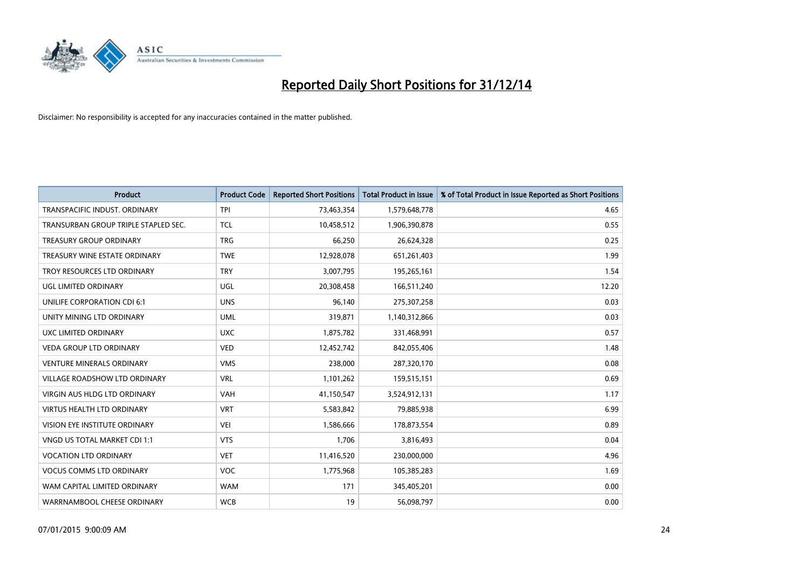

| Product                              | <b>Product Code</b> | <b>Reported Short Positions</b> | <b>Total Product in Issue</b> | % of Total Product in Issue Reported as Short Positions |
|--------------------------------------|---------------------|---------------------------------|-------------------------------|---------------------------------------------------------|
| TRANSPACIFIC INDUST, ORDINARY        | <b>TPI</b>          | 73,463,354                      | 1,579,648,778                 | 4.65                                                    |
| TRANSURBAN GROUP TRIPLE STAPLED SEC. | <b>TCL</b>          | 10,458,512                      | 1,906,390,878                 | 0.55                                                    |
| <b>TREASURY GROUP ORDINARY</b>       | <b>TRG</b>          | 66,250                          | 26,624,328                    | 0.25                                                    |
| TREASURY WINE ESTATE ORDINARY        | <b>TWE</b>          | 12,928,078                      | 651,261,403                   | 1.99                                                    |
| TROY RESOURCES LTD ORDINARY          | <b>TRY</b>          | 3,007,795                       | 195,265,161                   | 1.54                                                    |
| UGL LIMITED ORDINARY                 | UGL                 | 20,308,458                      | 166,511,240                   | 12.20                                                   |
| UNILIFE CORPORATION CDI 6:1          | <b>UNS</b>          | 96,140                          | 275,307,258                   | 0.03                                                    |
| UNITY MINING LTD ORDINARY            | <b>UML</b>          | 319,871                         | 1,140,312,866                 | 0.03                                                    |
| UXC LIMITED ORDINARY                 | <b>UXC</b>          | 1,875,782                       | 331,468,991                   | 0.57                                                    |
| <b>VEDA GROUP LTD ORDINARY</b>       | <b>VED</b>          | 12,452,742                      | 842,055,406                   | 1.48                                                    |
| <b>VENTURE MINERALS ORDINARY</b>     | <b>VMS</b>          | 238,000                         | 287,320,170                   | 0.08                                                    |
| <b>VILLAGE ROADSHOW LTD ORDINARY</b> | <b>VRL</b>          | 1,101,262                       | 159,515,151                   | 0.69                                                    |
| VIRGIN AUS HLDG LTD ORDINARY         | VAH                 | 41,150,547                      | 3,524,912,131                 | 1.17                                                    |
| <b>VIRTUS HEALTH LTD ORDINARY</b>    | <b>VRT</b>          | 5,583,842                       | 79,885,938                    | 6.99                                                    |
| VISION EYE INSTITUTE ORDINARY        | <b>VEI</b>          | 1,586,666                       | 178,873,554                   | 0.89                                                    |
| VNGD US TOTAL MARKET CDI 1:1         | <b>VTS</b>          | 1,706                           | 3,816,493                     | 0.04                                                    |
| <b>VOCATION LTD ORDINARY</b>         | <b>VET</b>          | 11,416,520                      | 230,000,000                   | 4.96                                                    |
| <b>VOCUS COMMS LTD ORDINARY</b>      | <b>VOC</b>          | 1,775,968                       | 105,385,283                   | 1.69                                                    |
| WAM CAPITAL LIMITED ORDINARY         | <b>WAM</b>          | 171                             | 345,405,201                   | 0.00                                                    |
| WARRNAMBOOL CHEESE ORDINARY          | <b>WCB</b>          | 19                              | 56,098,797                    | 0.00                                                    |